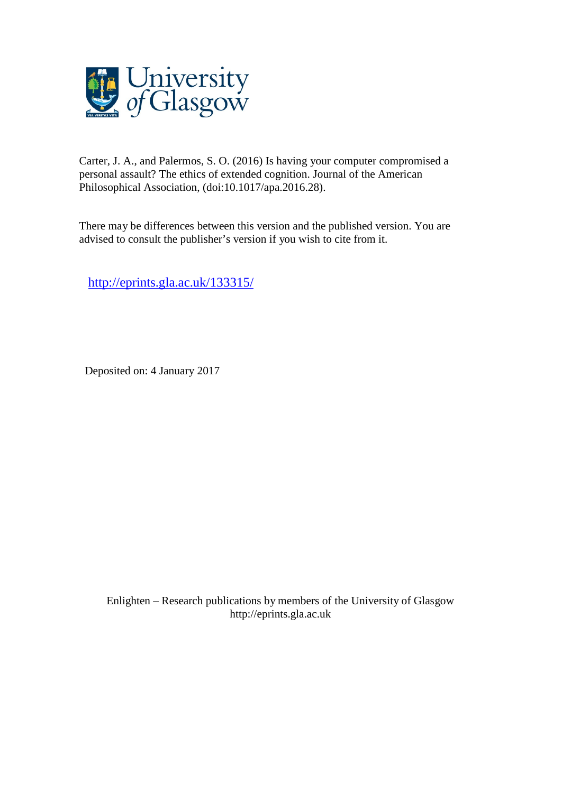

Carter, J. A., and Palermos, S. O. (2016) Is having your computer compromised a personal assault? The ethics of extended cognition. Journal of the American Philosophical Association, (doi:10.1017/apa.2016.28).

There may be differences between this version and the published version. You are advised to consult the publisher's version if you wish to cite from it.

<http://eprints.gla.ac.uk/133315/>

Deposited on: 4 January 2017

Enlighten – Research publications by members of the University of Glasgo[w](http://eprints.gla.ac.uk/) [http://eprints.gla.ac.uk](http://eprints.gla.ac.uk/)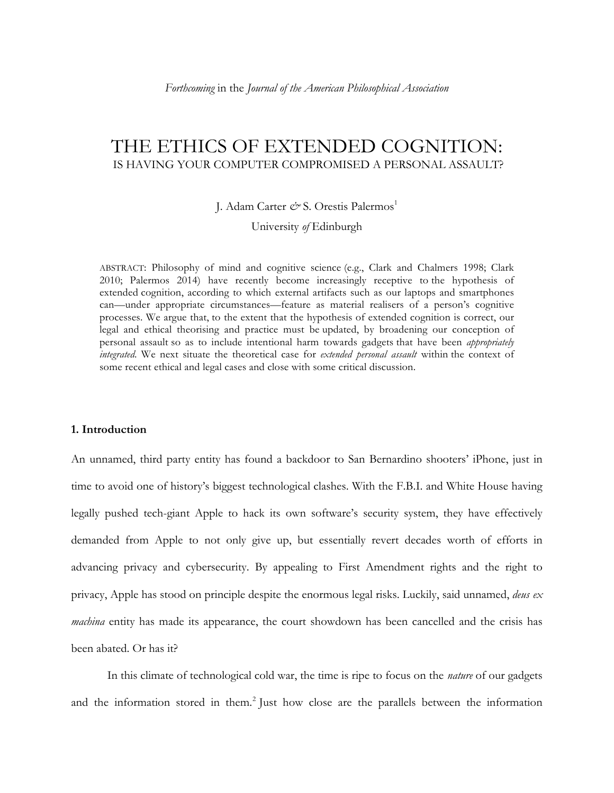# THE ETHICS OF EXTENDED COGNITION: IS HAVING YOUR COMPUTER COMPROMISED A PERSONAL ASSAULT?

J. Adam Carter  $\mathcal{O}^s$  S. Orestis Palermos<sup>1</sup>

University *of* Edinburgh

ABSTRACT: Philosophy of mind and cognitive science (e.g., Clark and Chalmers 1998; Clark 2010; Palermos 2014) have recently become increasingly receptive to the hypothesis of extended cognition, according to which external artifacts such as our laptops and smartphones can—under appropriate circumstances—feature as material realisers of a person's cognitive processes. We argue that, to the extent that the hypothesis of extended cognition is correct, our legal and ethical theorising and practice must be updated, by broadening our conception of personal assault so as to include intentional harm towards gadgets that have been *appropriately integrated*. We next situate the theoretical case for *extended personal assault* within the context of some recent ethical and legal cases and close with some critical discussion.

## **1. Introduction**

An unnamed, third party entity has found a backdoor to San Bernardino shooters' iPhone, just in time to avoid one of history's biggest technological clashes. With the F.B.I. and White House having legally pushed tech-giant Apple to hack its own software's security system, they have effectively demanded from Apple to not only give up, but essentially revert decades worth of efforts in advancing privacy and cybersecurity. By appealing to First Amendment rights and the right to privacy, Apple has stood on principle despite the enormous legal risks. Luckily, said unnamed, *deus ex machina* entity has made its appearance, the court showdown has been cancelled and the crisis has been abated. Or has it?

In this climate of technological cold war, the time is ripe to focus on the *nature* of our gadgets and the information stored in them.<sup>2</sup> Just how close are the parallels between the information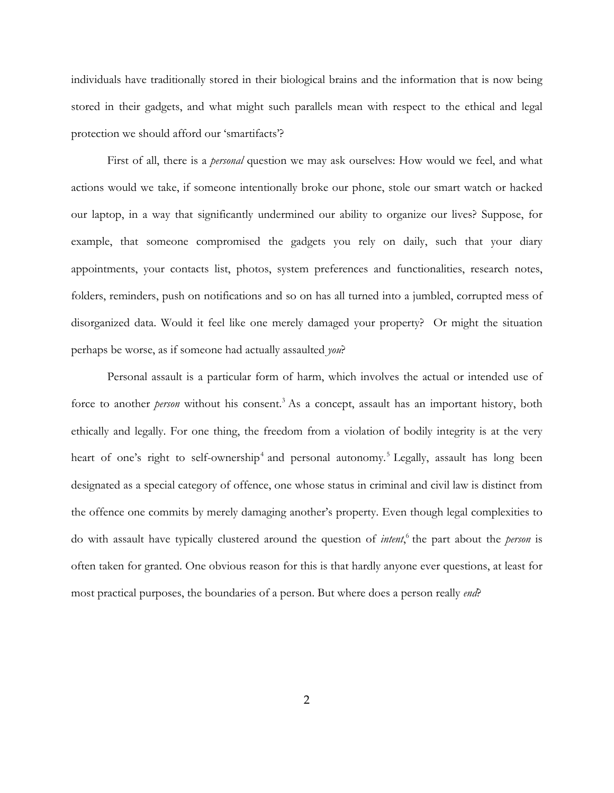individuals have traditionally stored in their biological brains and the information that is now being stored in their gadgets, and what might such parallels mean with respect to the ethical and legal protection we should afford our 'smartifacts'?

First of all, there is a *personal* question we may ask ourselves: How would we feel, and what actions would we take, if someone intentionally broke our phone, stole our smart watch or hacked our laptop, in a way that significantly undermined our ability to organize our lives? Suppose, for example, that someone compromised the gadgets you rely on daily, such that your diary appointments, your contacts list, photos, system preferences and functionalities, research notes, folders, reminders, push on notifications and so on has all turned into a jumbled, corrupted mess of disorganized data. Would it feel like one merely damaged your property? Or might the situation perhaps be worse, as if someone had actually assaulted *you*?

Personal assault is a particular form of harm, which involves the actual or intended use of force to another *person* without his consent. <sup>3</sup> As a concept, assault has an important history, both ethically and legally. For one thing, the freedom from a violation of bodily integrity is at the very heart of one's right to self-ownership<sup>4</sup> and personal autonomy.<sup>5</sup> Legally, assault has long been designated as a special category of offence, one whose status in criminal and civil law is distinct from the offence one commits by merely damaging another's property. Even though legal complexities to do with assault have typically clustered around the question of *intent*, <sup>6</sup> the part about the *person* is often taken for granted. One obvious reason for this is that hardly anyone ever questions, at least for most practical purposes, the boundaries of a person. But where does a person really *end*?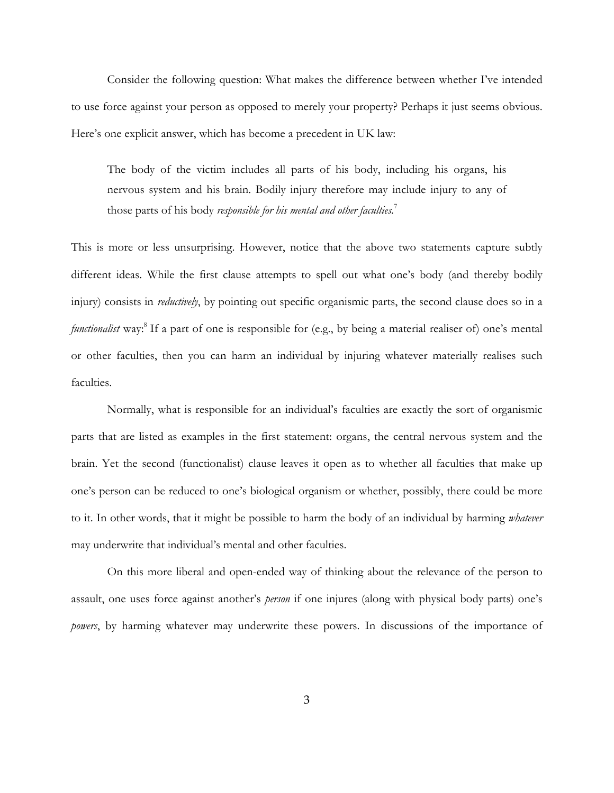Consider the following question: What makes the difference between whether I've intended to use force against your person as opposed to merely your property? Perhaps it just seems obvious. Here's one explicit answer, which has become a precedent in UK law:

The body of the victim includes all parts of his body, including his organs, his nervous system and his brain. Bodily injury therefore may include injury to any of those parts of his body *responsible for his mental and other faculties.* 7

This is more or less unsurprising. However, notice that the above two statements capture subtly different ideas. While the first clause attempts to spell out what one's body (and thereby bodily injury) consists in *reductively*, by pointing out specific organismic parts, the second clause does so in a *functionalist* way:<sup>8</sup> If a part of one is responsible for (e.g., by being a material realiser of) one's mental or other faculties, then you can harm an individual by injuring whatever materially realises such faculties.

Normally, what is responsible for an individual's faculties are exactly the sort of organismic parts that are listed as examples in the first statement: organs, the central nervous system and the brain. Yet the second (functionalist) clause leaves it open as to whether all faculties that make up one's person can be reduced to one's biological organism or whether, possibly, there could be more to it. In other words, that it might be possible to harm the body of an individual by harming *whatever* may underwrite that individual's mental and other faculties.

On this more liberal and open-ended way of thinking about the relevance of the person to assault, one uses force against another's *person* if one injures (along with physical body parts) one's *powers*, by harming whatever may underwrite these powers. In discussions of the importance of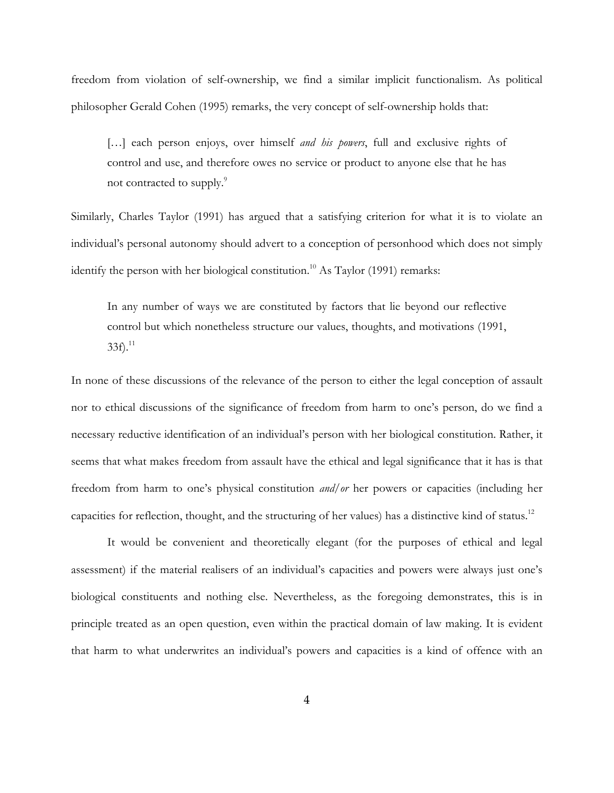freedom from violation of self-ownership, we find a similar implicit functionalism. As political philosopher Gerald Cohen (1995) remarks, the very concept of self-ownership holds that:

[...] each person enjoys, over himself *and his powers*, full and exclusive rights of control and use, and therefore owes no service or product to anyone else that he has not contracted to supply.<sup>9</sup>

Similarly, Charles Taylor (1991) has argued that a satisfying criterion for what it is to violate an individual's personal autonomy should advert to a conception of personhood which does not simply identify the person with her biological constitution. <sup>10</sup> As Taylor (1991) remarks:

In any number of ways we are constituted by factors that lie beyond our reflective control but which nonetheless structure our values, thoughts, and motivations (1991,  $33f$ ).<sup>11</sup>

In none of these discussions of the relevance of the person to either the legal conception of assault nor to ethical discussions of the significance of freedom from harm to one's person, do we find a necessary reductive identification of an individual's person with her biological constitution. Rather, it seems that what makes freedom from assault have the ethical and legal significance that it has is that freedom from harm to one's physical constitution *and/or* her powers or capacities (including her capacities for reflection, thought, and the structuring of her values) has a distinctive kind of status.<sup>12</sup>

It would be convenient and theoretically elegant (for the purposes of ethical and legal assessment) if the material realisers of an individual's capacities and powers were always just one's biological constituents and nothing else. Nevertheless, as the foregoing demonstrates, this is in principle treated as an open question, even within the practical domain of law making. It is evident that harm to what underwrites an individual's powers and capacities is a kind of offence with an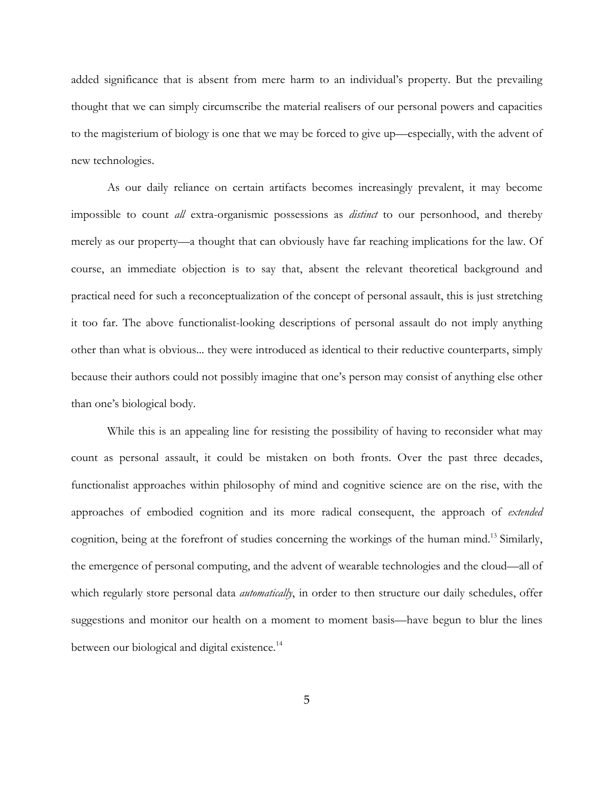added significance that is absent from mere harm to an individual's property. But the prevailing thought that we can simply circumscribe the material realisers of our personal powers and capacities to the magisterium of biology is one that we may be forced to give up—especially, with the advent of new technologies.

As our daily reliance on certain artifacts becomes increasingly prevalent, it may become impossible to count *all* extra-organismic possessions as *distinct* to our personhood, and thereby merely as our property—a thought that can obviously have far reaching implications for the law. Of course, an immediate objection is to say that, absent the relevant theoretical background and practical need for such a reconceptualization of the concept of personal assault, this is just stretching it too far. The above functionalist-looking descriptions of personal assault do not imply anything other than what is obvious... they were introduced as identical to their reductive counterparts, simply because their authors could not possibly imagine that one's person may consist of anything else other than one's biological body.

While this is an appealing line for resisting the possibility of having to reconsider what may count as personal assault, it could be mistaken on both fronts. Over the past three decades, functionalist approaches within philosophy of mind and cognitive science are on the rise, with the approaches of embodied cognition and its more radical consequent, the approach of *extended* cognition, being at the forefront of studies concerning the workings of the human mind.<sup>13</sup> Similarly, the emergence of personal computing, and the advent of wearable technologies and the cloud—all of which regularly store personal data *automatically*, in order to then structure our daily schedules, offer suggestions and monitor our health on a moment to moment basis—have begun to blur the lines between our biological and digital existence.<sup>14</sup>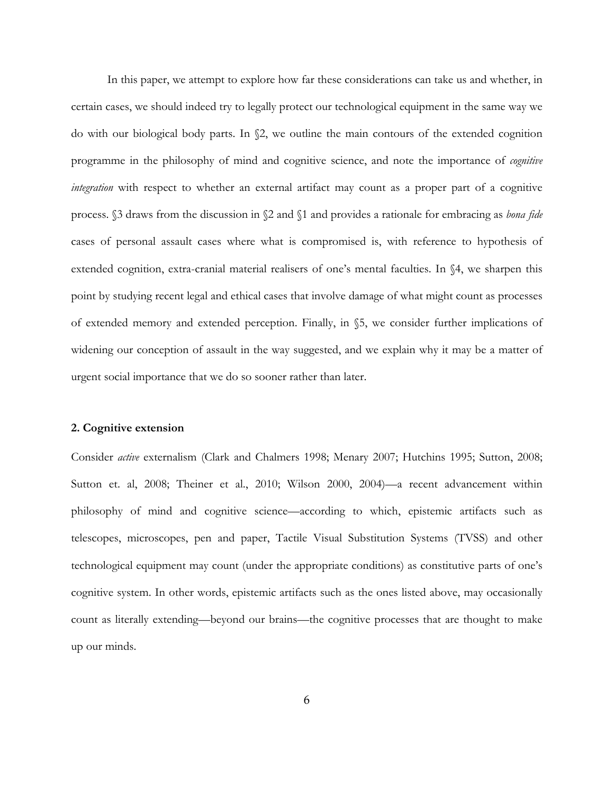In this paper, we attempt to explore how far these considerations can take us and whether, in certain cases, we should indeed try to legally protect our technological equipment in the same way we do with our biological body parts. In §2, we outline the main contours of the extended cognition programme in the philosophy of mind and cognitive science, and note the importance of *cognitive integration* with respect to whether an external artifact may count as a proper part of a cognitive process. §3 draws from the discussion in §2 and §1 and provides a rationale for embracing as *bona fide* cases of personal assault cases where what is compromised is, with reference to hypothesis of extended cognition, extra-cranial material realisers of one's mental faculties. In §4, we sharpen this point by studying recent legal and ethical cases that involve damage of what might count as processes of extended memory and extended perception. Finally, in §5, we consider further implications of widening our conception of assault in the way suggested, and we explain why it may be a matter of urgent social importance that we do so sooner rather than later.

#### **2. Cognitive extension**

Consider *active* externalism (Clark and Chalmers 1998; Menary 2007; Hutchins 1995; Sutton, 2008; Sutton et. al, 2008; Theiner et al., 2010; Wilson 2000, 2004)—a recent advancement within philosophy of mind and cognitive science—according to which, epistemic artifacts such as telescopes, microscopes, pen and paper, Tactile Visual Substitution Systems (TVSS) and other technological equipment may count (under the appropriate conditions) as constitutive parts of one's cognitive system. In other words, epistemic artifacts such as the ones listed above, may occasionally count as literally extending—beyond our brains—the cognitive processes that are thought to make up our minds.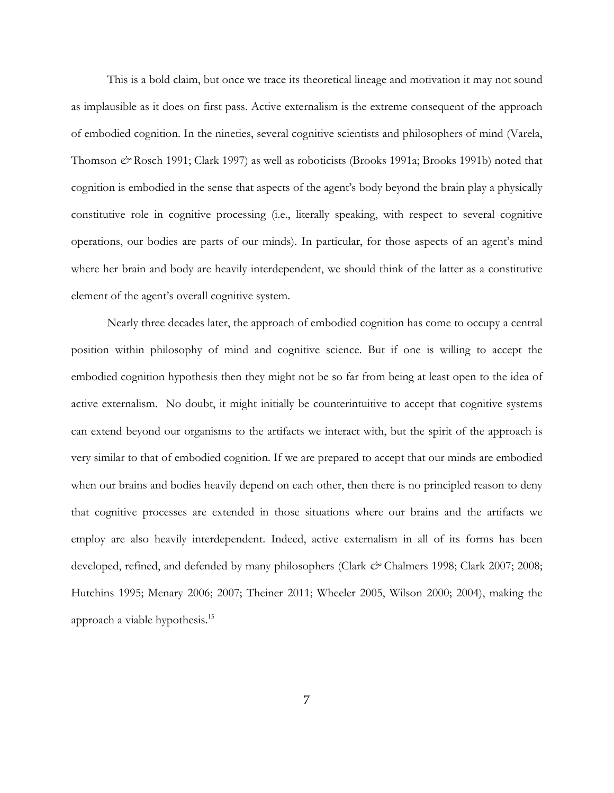This is a bold claim, but once we trace its theoretical lineage and motivation it may not sound as implausible as it does on first pass. Active externalism is the extreme consequent of the approach of embodied cognition. In the nineties, several cognitive scientists and philosophers of mind (Varela, Thomson *&* Rosch 1991; Clark 1997) as well as roboticists (Brooks 1991a; Brooks 1991b) noted that cognition is embodied in the sense that aspects of the agent's body beyond the brain play a physically constitutive role in cognitive processing (i.e., literally speaking, with respect to several cognitive operations, our bodies are parts of our minds). In particular, for those aspects of an agent's mind where her brain and body are heavily interdependent, we should think of the latter as a constitutive element of the agent's overall cognitive system.

Nearly three decades later, the approach of embodied cognition has come to occupy a central position within philosophy of mind and cognitive science. But if one is willing to accept the embodied cognition hypothesis then they might not be so far from being at least open to the idea of active externalism. No doubt, it might initially be counterintuitive to accept that cognitive systems can extend beyond our organisms to the artifacts we interact with, but the spirit of the approach is very similar to that of embodied cognition. If we are prepared to accept that our minds are embodied when our brains and bodies heavily depend on each other, then there is no principled reason to deny that cognitive processes are extended in those situations where our brains and the artifacts we employ are also heavily interdependent. Indeed, active externalism in all of its forms has been developed, refined, and defended by many philosophers (Clark  $c$ <sup>o</sup> Chalmers 1998; Clark 2007; 2008; Hutchins 1995; Menary 2006; 2007; Theiner 2011; Wheeler 2005, Wilson 2000; 2004), making the approach a viable hypothesis.15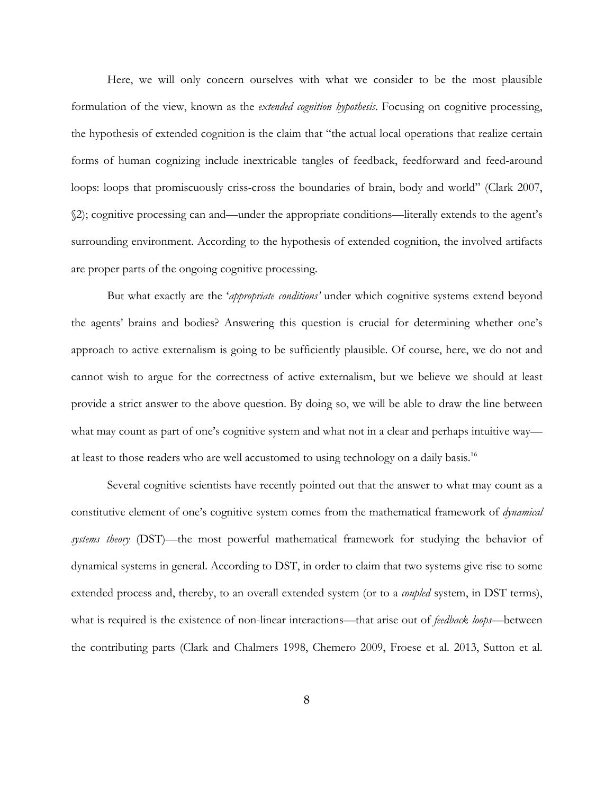Here, we will only concern ourselves with what we consider to be the most plausible formulation of the view, known as the *extended cognition hypothesis*. Focusing on cognitive processing, the hypothesis of extended cognition is the claim that "the actual local operations that realize certain forms of human cognizing include inextricable tangles of feedback, feedforward and feed-around loops: loops that promiscuously criss-cross the boundaries of brain, body and world" (Clark 2007, §2); cognitive processing can and—under the appropriate conditions—literally extends to the agent's surrounding environment. According to the hypothesis of extended cognition, the involved artifacts are proper parts of the ongoing cognitive processing.

But what exactly are the '*appropriate conditions'* under which cognitive systems extend beyond the agents' brains and bodies? Answering this question is crucial for determining whether one's approach to active externalism is going to be sufficiently plausible. Of course, here, we do not and cannot wish to argue for the correctness of active externalism, but we believe we should at least provide a strict answer to the above question. By doing so, we will be able to draw the line between what may count as part of one's cognitive system and what not in a clear and perhaps intuitive way at least to those readers who are well accustomed to using technology on a daily basis.<sup>16</sup>

Several cognitive scientists have recently pointed out that the answer to what may count as a constitutive element of one's cognitive system comes from the mathematical framework of *dynamical systems theory* (DST)—the most powerful mathematical framework for studying the behavior of dynamical systems in general. According to DST, in order to claim that two systems give rise to some extended process and, thereby, to an overall extended system (or to a *coupled* system, in DST terms), what is required is the existence of non-linear interactions—that arise out of *feedback loops*—between the contributing parts (Clark and Chalmers 1998, Chemero 2009, Froese et al. 2013, Sutton et al.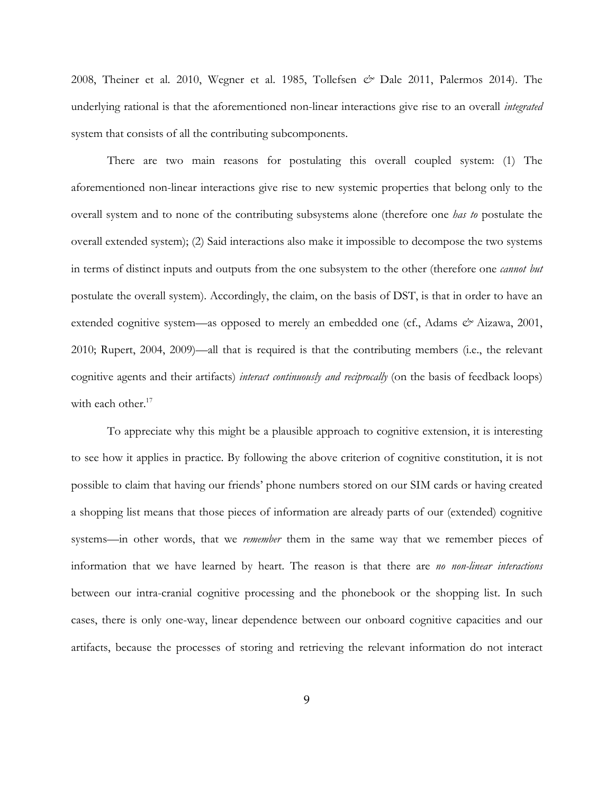2008, Theiner et al. 2010, Wegner et al. 1985, Tollefsen *&* Dale 2011, Palermos 2014). The underlying rational is that the aforementioned non-linear interactions give rise to an overall *integrated* system that consists of all the contributing subcomponents.

There are two main reasons for postulating this overall coupled system: (1) The aforementioned non-linear interactions give rise to new systemic properties that belong only to the overall system and to none of the contributing subsystems alone (therefore one *has to* postulate the overall extended system); (2) Said interactions also make it impossible to decompose the two systems in terms of distinct inputs and outputs from the one subsystem to the other (therefore one *cannot but* postulate the overall system). Accordingly, the claim, on the basis of DST, is that in order to have an extended cognitive system—as opposed to merely an embedded one (cf., Adams  $\dot{\mathcal{O}}$  Aizawa, 2001, 2010; Rupert, 2004, 2009)—all that is required is that the contributing members (i.e., the relevant cognitive agents and their artifacts) *interact continuously and reciprocally* (on the basis of feedback loops) with each other. $17$ 

To appreciate why this might be a plausible approach to cognitive extension, it is interesting to see how it applies in practice. By following the above criterion of cognitive constitution, it is not possible to claim that having our friends' phone numbers stored on our SIM cards or having created a shopping list means that those pieces of information are already parts of our (extended) cognitive systems—in other words, that we *remember* them in the same way that we remember pieces of information that we have learned by heart. The reason is that there are *no non-linear interactions* between our intra-cranial cognitive processing and the phonebook or the shopping list. In such cases, there is only one-way, linear dependence between our onboard cognitive capacities and our artifacts, because the processes of storing and retrieving the relevant information do not interact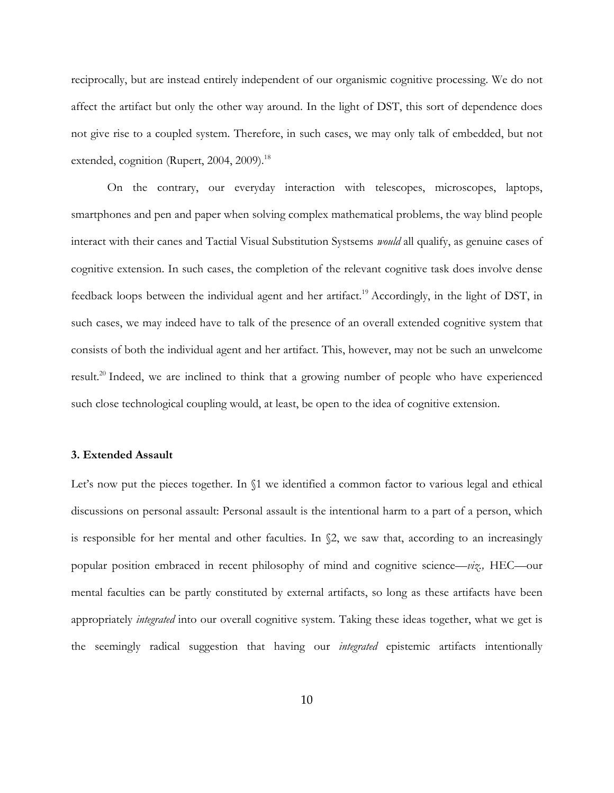reciprocally, but are instead entirely independent of our organismic cognitive processing. We do not affect the artifact but only the other way around. In the light of DST, this sort of dependence does not give rise to a coupled system. Therefore, in such cases, we may only talk of embedded, but not extended, cognition (Rupert, 2004, 2009).<sup>18</sup>

On the contrary, our everyday interaction with telescopes, microscopes, laptops, smartphones and pen and paper when solving complex mathematical problems, the way blind people interact with their canes and Tactial Visual Substitution Systsems *would* all qualify, as genuine cases of cognitive extension. In such cases, the completion of the relevant cognitive task does involve dense feedback loops between the individual agent and her artifact.<sup>19</sup> Accordingly, in the light of DST, in such cases, we may indeed have to talk of the presence of an overall extended cognitive system that consists of both the individual agent and her artifact. This, however, may not be such an unwelcome result.<sup>20</sup> Indeed, we are inclined to think that a growing number of people who have experienced such close technological coupling would, at least, be open to the idea of cognitive extension.

### **3. Extended Assault**

Let's now put the pieces together. In  $\S$ 1 we identified a common factor to various legal and ethical discussions on personal assault: Personal assault is the intentional harm to a part of a person, which is responsible for her mental and other faculties. In  $\S$ 2, we saw that, according to an increasingly popular position embraced in recent philosophy of mind and cognitive science—*viz.,* HEC—our mental faculties can be partly constituted by external artifacts, so long as these artifacts have been appropriately *integrated* into our overall cognitive system. Taking these ideas together, what we get is the seemingly radical suggestion that having our *integrated* epistemic artifacts intentionally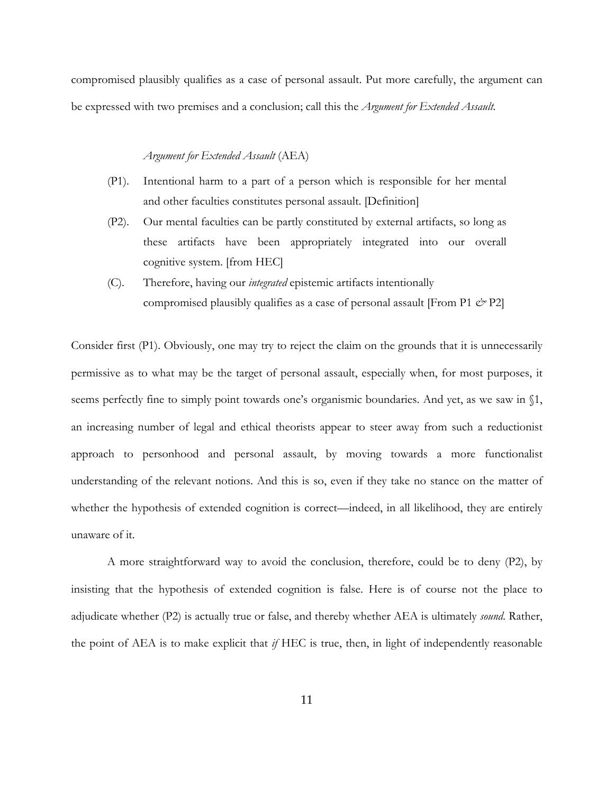compromised plausibly qualifies as a case of personal assault. Put more carefully, the argument can be expressed with two premises and a conclusion; call this the *Argument for Extended Assault.*

#### *Argument for Extended Assault* (AEA)

- (P1). Intentional harm to a part of a person which is responsible for her mental and other faculties constitutes personal assault. [Definition]
- (P2). Our mental faculties can be partly constituted by external artifacts, so long as these artifacts have been appropriately integrated into our overall cognitive system. [from HEC]
- (C). Therefore, having our *integrated* epistemic artifacts intentionally compromised plausibly qualifies as a case of personal assault [From P1 *&* P2]

Consider first (P1). Obviously, one may try to reject the claim on the grounds that it is unnecessarily permissive as to what may be the target of personal assault, especially when, for most purposes, it seems perfectly fine to simply point towards one's organismic boundaries. And yet, as we saw in §1, an increasing number of legal and ethical theorists appear to steer away from such a reductionist approach to personhood and personal assault, by moving towards a more functionalist understanding of the relevant notions. And this is so, even if they take no stance on the matter of whether the hypothesis of extended cognition is correct—indeed, in all likelihood, they are entirely unaware of it.

A more straightforward way to avoid the conclusion, therefore, could be to deny (P2), by insisting that the hypothesis of extended cognition is false. Here is of course not the place to adjudicate whether (P2) is actually true or false, and thereby whether AEA is ultimately *sound*. Rather, the point of AEA is to make explicit that *if* HEC is true, then, in light of independently reasonable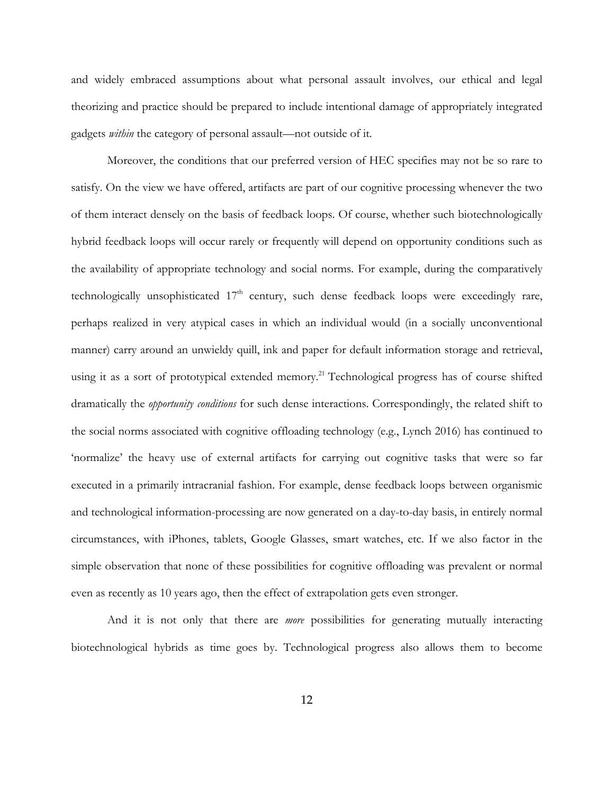and widely embraced assumptions about what personal assault involves, our ethical and legal theorizing and practice should be prepared to include intentional damage of appropriately integrated gadgets *within* the category of personal assault—not outside of it.

Moreover, the conditions that our preferred version of HEC specifies may not be so rare to satisfy. On the view we have offered, artifacts are part of our cognitive processing whenever the two of them interact densely on the basis of feedback loops. Of course, whether such biotechnologically hybrid feedback loops will occur rarely or frequently will depend on opportunity conditions such as the availability of appropriate technology and social norms. For example, during the comparatively technologically unsophisticated  $17<sup>th</sup>$  century, such dense feedback loops were exceedingly rare, perhaps realized in very atypical cases in which an individual would (in a socially unconventional manner) carry around an unwieldy quill, ink and paper for default information storage and retrieval, using it as a sort of prototypical extended memory.<sup>21</sup> Technological progress has of course shifted dramatically the *opportunity conditions* for such dense interactions. Correspondingly, the related shift to the social norms associated with cognitive offloading technology (e.g., Lynch 2016) has continued to 'normalize' the heavy use of external artifacts for carrying out cognitive tasks that were so far executed in a primarily intracranial fashion. For example, dense feedback loops between organismic and technological information-processing are now generated on a day-to-day basis, in entirely normal circumstances, with iPhones, tablets, Google Glasses, smart watches, etc. If we also factor in the simple observation that none of these possibilities for cognitive offloading was prevalent or normal even as recently as 10 years ago, then the effect of extrapolation gets even stronger.

And it is not only that there are *more* possibilities for generating mutually interacting biotechnological hybrids as time goes by. Technological progress also allows them to become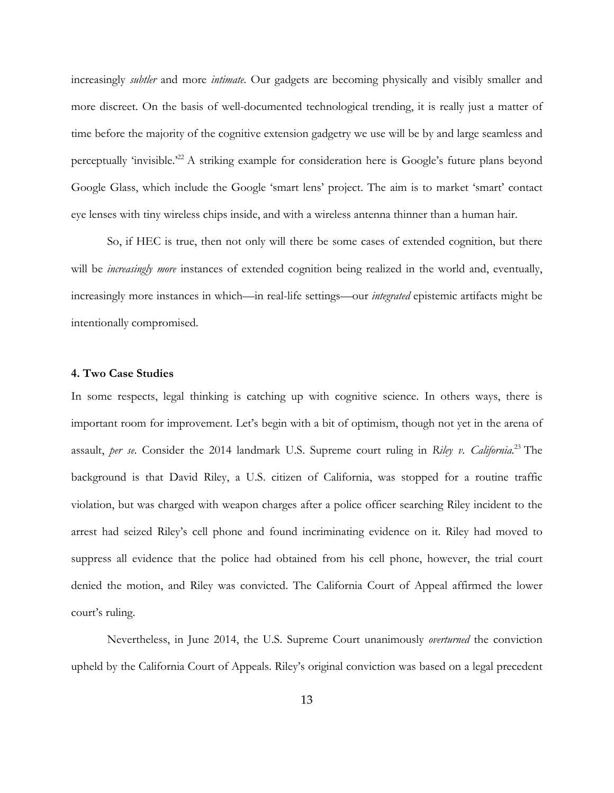increasingly *subtler* and more *intimate*. Our gadgets are becoming physically and visibly smaller and more discreet. On the basis of well-documented technological trending, it is really just a matter of time before the majority of the cognitive extension gadgetry we use will be by and large seamless and perceptually 'invisible.'22 A striking example for consideration here is Google's future plans beyond Google Glass, which include the Google 'smart lens' project. The aim is to market 'smart' contact eye lenses with tiny wireless chips inside, and with a wireless antenna thinner than a human hair.

So, if HEC is true, then not only will there be some cases of extended cognition, but there will be *increasingly more* instances of extended cognition being realized in the world and, eventually, increasingly more instances in which—in real-life settings—our *integrated* epistemic artifacts might be intentionally compromised.

## **4. Two Case Studies**

In some respects, legal thinking is catching up with cognitive science. In others ways, there is important room for improvement. Let's begin with a bit of optimism, though not yet in the arena of assault, *per se*. Consider the 2014 landmark U.S. Supreme court ruling in *Riley v. California.* <sup>23</sup> The background is that David Riley, a U.S. citizen of California, was stopped for a routine traffic violation, but was charged with weapon charges after a police officer searching Riley incident to the arrest had seized Riley's cell phone and found incriminating evidence on it. Riley had moved to suppress all evidence that the police had obtained from his cell phone, however, the trial court denied the motion, and Riley was convicted. The California Court of Appeal affirmed the lower court's ruling.

Nevertheless, in June 2014, the U.S. Supreme Court unanimously *overturned* the conviction upheld by the California Court of Appeals. Riley's original conviction was based on a legal precedent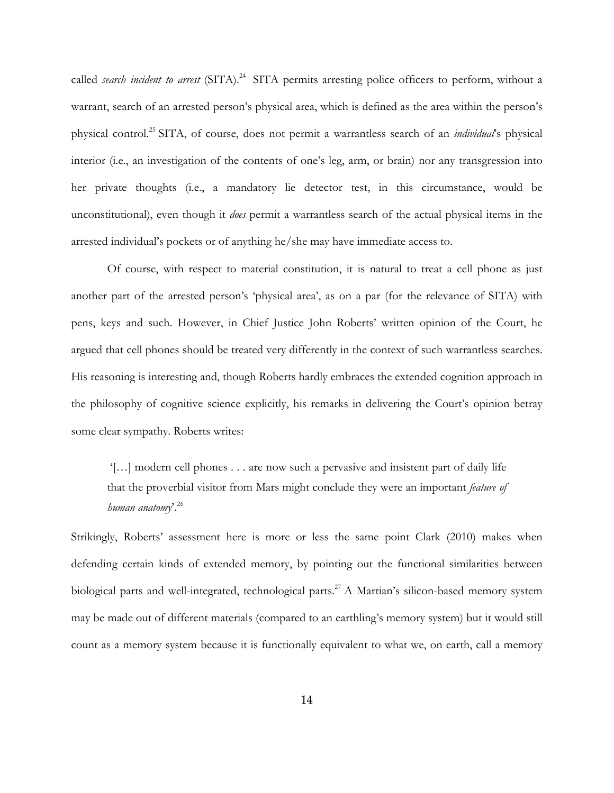called *search incident to arrest* (SITA). 24 SITA permits arresting police officers to perform, without a warrant, search of an arrested person's physical area, which is defined as the area within the person's physical control.25 SITA, of course, does not permit a warrantless search of an *individual*'s physical interior (i.e., an investigation of the contents of one's leg, arm, or brain) nor any transgression into her private thoughts (i.e., a mandatory lie detector test, in this circumstance, would be unconstitutional), even though it *does* permit a warrantless search of the actual physical items in the arrested individual's pockets or of anything he/she may have immediate access to.

Of course, with respect to material constitution, it is natural to treat a cell phone as just another part of the arrested person's 'physical area', as on a par (for the relevance of SITA) with pens, keys and such. However, in Chief Justice John Roberts' written opinion of the Court, he argued that cell phones should be treated very differently in the context of such warrantless searches. His reasoning is interesting and, though Roberts hardly embraces the extended cognition approach in the philosophy of cognitive science explicitly, his remarks in delivering the Court's opinion betray some clear sympathy. Roberts writes:

'[…] modern cell phones . . . are now such a pervasive and insistent part of daily life that the proverbial visitor from Mars might conclude they were an important *feature of human anatomy*'. 26

Strikingly, Roberts' assessment here is more or less the same point Clark (2010) makes when defending certain kinds of extended memory, by pointing out the functional similarities between biological parts and well-integrated, technological parts.<sup>27</sup> A Martian's silicon-based memory system may be made out of different materials (compared to an earthling's memory system) but it would still count as a memory system because it is functionally equivalent to what we, on earth, call a memory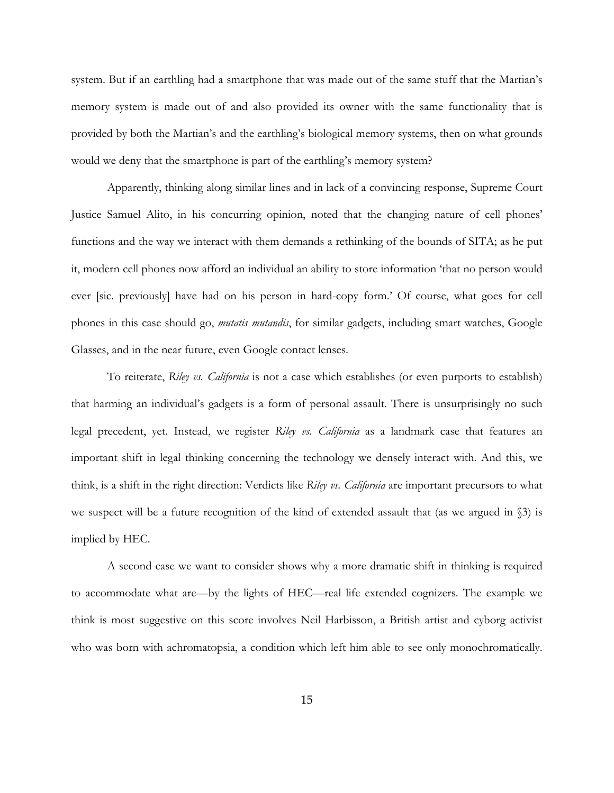system. But if an earthling had a smartphone that was made out of the same stuff that the Martian's memory system is made out of and also provided its owner with the same functionality that is provided by both the Martian's and the earthling's biological memory systems, then on what grounds would we deny that the smartphone is part of the earthling's memory system?

Apparently, thinking along similar lines and in lack of a convincing response, Supreme Court Justice Samuel Alito, in his concurring opinion, noted that the changing nature of cell phones' functions and the way we interact with them demands a rethinking of the bounds of SITA; as he put it, modern cell phones now afford an individual an ability to store information 'that no person would ever [sic. previously] have had on his person in hard-copy form.' Of course, what goes for cell phones in this case should go, *mutatis mutandis*, for similar gadgets, including smart watches, Google Glasses, and in the near future, even Google contact lenses.

To reiterate, *Riley vs. California* is not a case which establishes (or even purports to establish) that harming an individual's gadgets is a form of personal assault. There is unsurprisingly no such legal precedent, yet. Instead, we register *Riley vs. California* as a landmark case that features an important shift in legal thinking concerning the technology we densely interact with. And this, we think, is a shift in the right direction: Verdicts like *Riley vs. California* are important precursors to what we suspect will be a future recognition of the kind of extended assault that (as we argued in §3) is implied by HEC.

A second case we want to consider shows why a more dramatic shift in thinking is required to accommodate what are—by the lights of HEC—real life extended cognizers. The example we think is most suggestive on this score involves Neil Harbisson, a British artist and cyborg activist who was born with achromatopsia, a condition which left him able to see only monochromatically.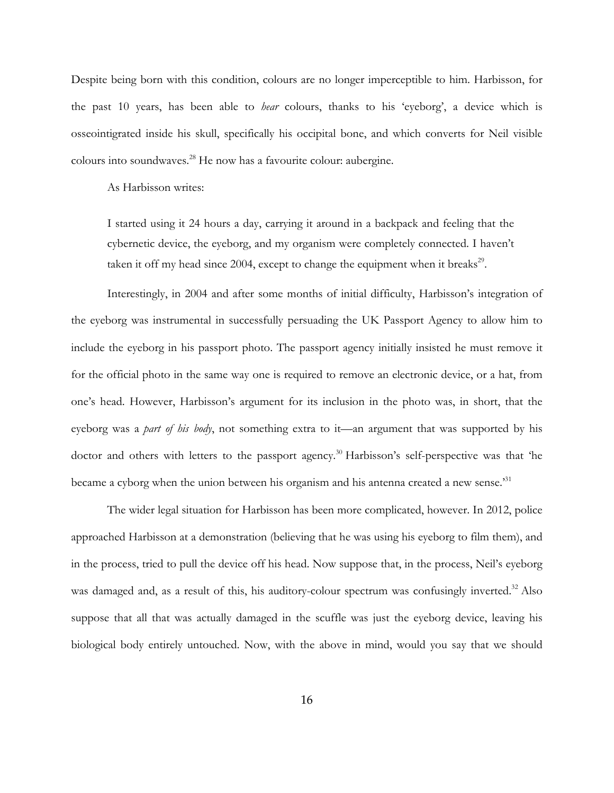Despite being born with this condition, colours are no longer imperceptible to him. Harbisson, for the past 10 years, has been able to *hear* colours, thanks to his 'eyeborg', a device which is osseointigrated inside his skull, specifically his occipital bone, and which converts for Neil visible colours into soundwaves. <sup>28</sup> He now has a favourite colour: aubergine.

As Harbisson writes:

I started using it 24 hours a day, carrying it around in a backpack and feeling that the cybernetic device, the eyeborg, and my organism were completely connected. I haven't taken it off my head since 2004, except to change the equipment when it breaks<sup>29</sup>.

Interestingly, in 2004 and after some months of initial difficulty, Harbisson's integration of the eyeborg was instrumental in successfully persuading the UK Passport Agency to allow him to include the eyeborg in his passport photo. The passport agency initially insisted he must remove it for the official photo in the same way one is required to remove an electronic device, or a hat, from one's head. However, Harbisson's argument for its inclusion in the photo was, in short, that the eyeborg was a *part of his body*, not something extra to it—an argument that was supported by his doctor and others with letters to the passport agency.<sup>30</sup> Harbisson's self-perspective was that 'he became a cyborg when the union between his organism and his antenna created a new sense.<sup>31</sup>

The wider legal situation for Harbisson has been more complicated, however. In 2012, police approached Harbisson at a demonstration (believing that he was using his eyeborg to film them), and in the process, tried to pull the device off his head. Now suppose that, in the process, Neil's eyeborg was damaged and, as a result of this, his auditory-colour spectrum was confusingly inverted.<sup>32</sup> Also suppose that all that was actually damaged in the scuffle was just the eyeborg device, leaving his biological body entirely untouched. Now, with the above in mind, would you say that we should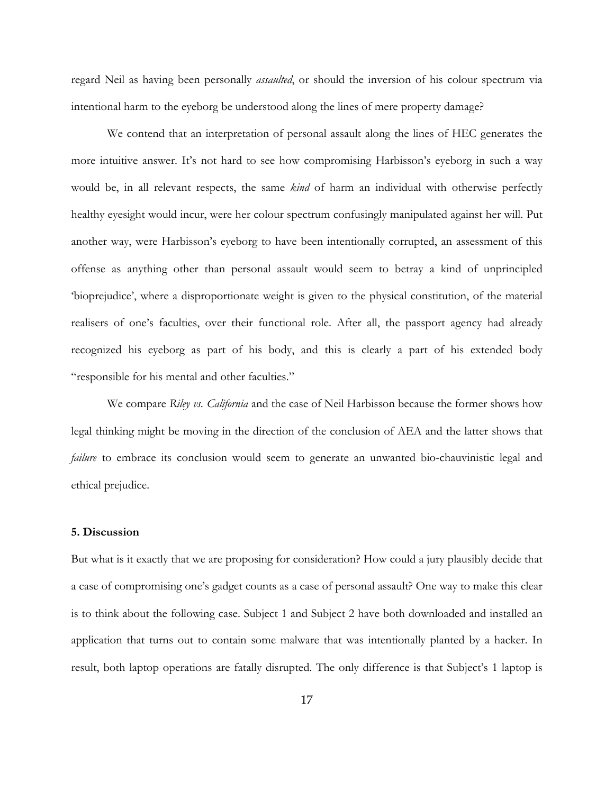regard Neil as having been personally *assaulted*, or should the inversion of his colour spectrum via intentional harm to the eyeborg be understood along the lines of mere property damage?

We contend that an interpretation of personal assault along the lines of HEC generates the more intuitive answer. It's not hard to see how compromising Harbisson's eyeborg in such a way would be, in all relevant respects, the same *kind* of harm an individual with otherwise perfectly healthy eyesight would incur, were her colour spectrum confusingly manipulated against her will. Put another way, were Harbisson's eyeborg to have been intentionally corrupted, an assessment of this offense as anything other than personal assault would seem to betray a kind of unprincipled 'bioprejudice', where a disproportionate weight is given to the physical constitution, of the material realisers of one's faculties, over their functional role. After all, the passport agency had already recognized his eyeborg as part of his body, and this is clearly a part of his extended body "responsible for his mental and other faculties."

We compare *Riley vs. California* and the case of Neil Harbisson because the former shows how legal thinking might be moving in the direction of the conclusion of AEA and the latter shows that *failure* to embrace its conclusion would seem to generate an unwanted bio-chauvinistic legal and ethical prejudice.

#### **5. Discussion**

But what is it exactly that we are proposing for consideration? How could a jury plausibly decide that a case of compromising one's gadget counts as a case of personal assault? One way to make this clear is to think about the following case. Subject 1 and Subject 2 have both downloaded and installed an application that turns out to contain some malware that was intentionally planted by a hacker. In result, both laptop operations are fatally disrupted. The only difference is that Subject's 1 laptop is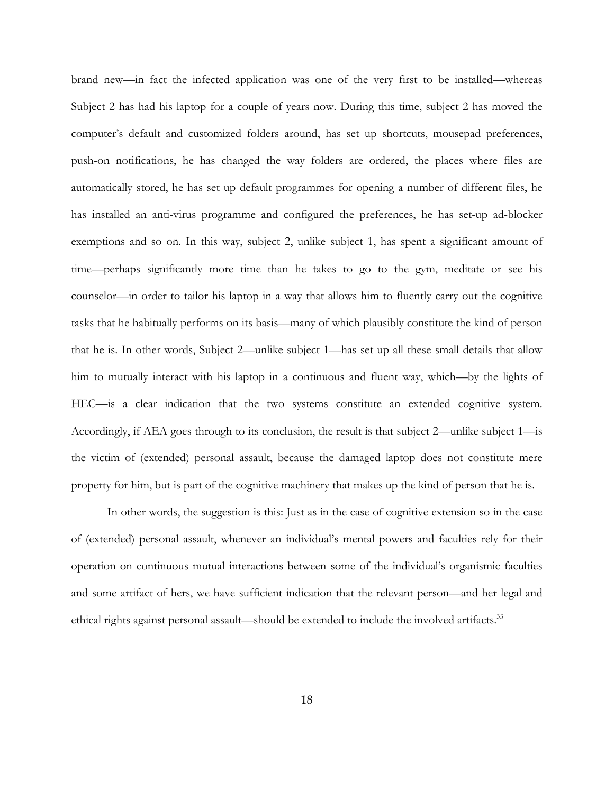brand new—in fact the infected application was one of the very first to be installed—whereas Subject 2 has had his laptop for a couple of years now. During this time, subject 2 has moved the computer's default and customized folders around, has set up shortcuts, mousepad preferences, push-on notifications, he has changed the way folders are ordered, the places where files are automatically stored, he has set up default programmes for opening a number of different files, he has installed an anti-virus programme and configured the preferences, he has set-up ad-blocker exemptions and so on. In this way, subject 2, unlike subject 1, has spent a significant amount of time—perhaps significantly more time than he takes to go to the gym, meditate or see his counselor—in order to tailor his laptop in a way that allows him to fluently carry out the cognitive tasks that he habitually performs on its basis—many of which plausibly constitute the kind of person that he is. In other words, Subject 2—unlike subject 1—has set up all these small details that allow him to mutually interact with his laptop in a continuous and fluent way, which—by the lights of HEC—is a clear indication that the two systems constitute an extended cognitive system. Accordingly, if AEA goes through to its conclusion, the result is that subject 2—unlike subject 1—is the victim of (extended) personal assault, because the damaged laptop does not constitute mere property for him, but is part of the cognitive machinery that makes up the kind of person that he is.

In other words, the suggestion is this: Just as in the case of cognitive extension so in the case of (extended) personal assault, whenever an individual's mental powers and faculties rely for their operation on continuous mutual interactions between some of the individual's organismic faculties and some artifact of hers, we have sufficient indication that the relevant person—and her legal and ethical rights against personal assault—should be extended to include the involved artifacts.<sup>33</sup>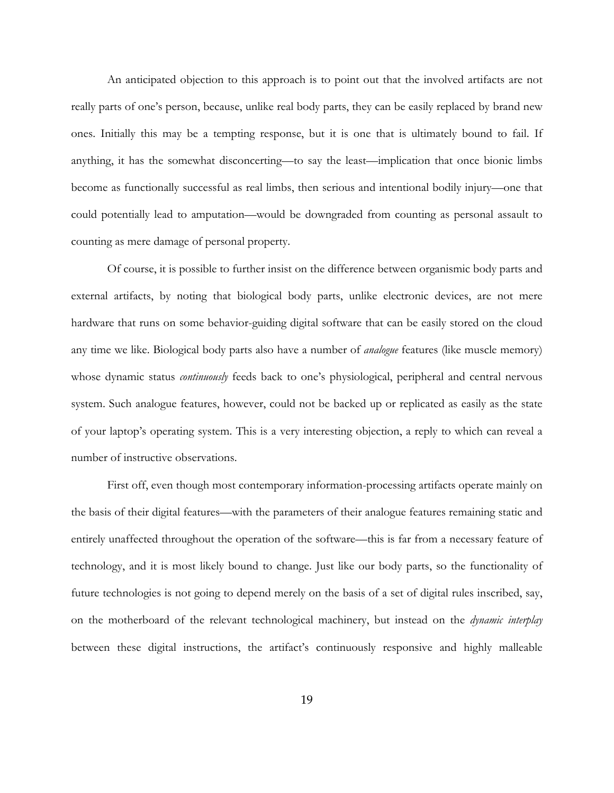An anticipated objection to this approach is to point out that the involved artifacts are not really parts of one's person, because, unlike real body parts, they can be easily replaced by brand new ones. Initially this may be a tempting response, but it is one that is ultimately bound to fail. If anything, it has the somewhat disconcerting—to say the least—implication that once bionic limbs become as functionally successful as real limbs, then serious and intentional bodily injury—one that could potentially lead to amputation—would be downgraded from counting as personal assault to counting as mere damage of personal property.

Of course, it is possible to further insist on the difference between organismic body parts and external artifacts, by noting that biological body parts, unlike electronic devices, are not mere hardware that runs on some behavior-guiding digital software that can be easily stored on the cloud any time we like. Biological body parts also have a number of *analogue* features (like muscle memory) whose dynamic status *continuously* feeds back to one's physiological, peripheral and central nervous system. Such analogue features, however, could not be backed up or replicated as easily as the state of your laptop's operating system. This is a very interesting objection, a reply to which can reveal a number of instructive observations.

First off, even though most contemporary information-processing artifacts operate mainly on the basis of their digital features—with the parameters of their analogue features remaining static and entirely unaffected throughout the operation of the software—this is far from a necessary feature of technology, and it is most likely bound to change. Just like our body parts, so the functionality of future technologies is not going to depend merely on the basis of a set of digital rules inscribed, say, on the motherboard of the relevant technological machinery, but instead on the *dynamic interplay* between these digital instructions, the artifact's continuously responsive and highly malleable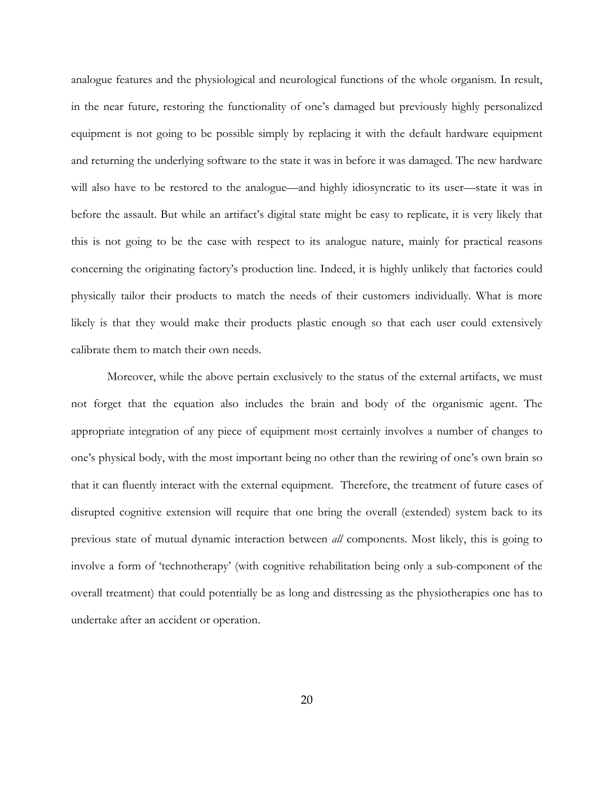analogue features and the physiological and neurological functions of the whole organism. In result, in the near future, restoring the functionality of one's damaged but previously highly personalized equipment is not going to be possible simply by replacing it with the default hardware equipment and returning the underlying software to the state it was in before it was damaged. The new hardware will also have to be restored to the analogue—and highly idiosyncratic to its user—state it was in before the assault. But while an artifact's digital state might be easy to replicate, it is very likely that this is not going to be the case with respect to its analogue nature, mainly for practical reasons concerning the originating factory's production line. Indeed, it is highly unlikely that factories could physically tailor their products to match the needs of their customers individually. What is more likely is that they would make their products plastic enough so that each user could extensively calibrate them to match their own needs.

Moreover, while the above pertain exclusively to the status of the external artifacts, we must not forget that the equation also includes the brain and body of the organismic agent. The appropriate integration of any piece of equipment most certainly involves a number of changes to one's physical body, with the most important being no other than the rewiring of one's own brain so that it can fluently interact with the external equipment. Therefore, the treatment of future cases of disrupted cognitive extension will require that one bring the overall (extended) system back to its previous state of mutual dynamic interaction between *all* components. Most likely, this is going to involve a form of 'technotherapy' (with cognitive rehabilitation being only a sub-component of the overall treatment) that could potentially be as long and distressing as the physiotherapies one has to undertake after an accident or operation.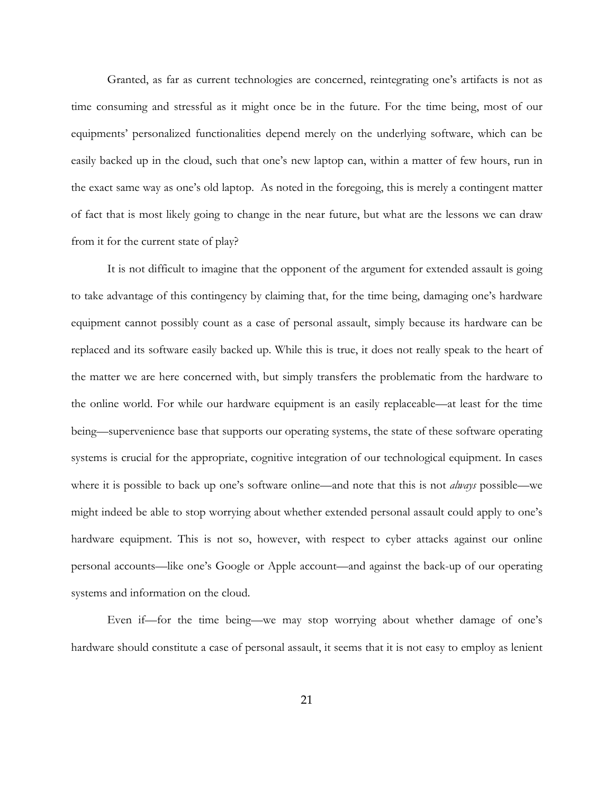Granted, as far as current technologies are concerned, reintegrating one's artifacts is not as time consuming and stressful as it might once be in the future. For the time being, most of our equipments' personalized functionalities depend merely on the underlying software, which can be easily backed up in the cloud, such that one's new laptop can, within a matter of few hours, run in the exact same way as one's old laptop. As noted in the foregoing, this is merely a contingent matter of fact that is most likely going to change in the near future, but what are the lessons we can draw from it for the current state of play?

It is not difficult to imagine that the opponent of the argument for extended assault is going to take advantage of this contingency by claiming that, for the time being, damaging one's hardware equipment cannot possibly count as a case of personal assault, simply because its hardware can be replaced and its software easily backed up. While this is true, it does not really speak to the heart of the matter we are here concerned with, but simply transfers the problematic from the hardware to the online world. For while our hardware equipment is an easily replaceable—at least for the time being—supervenience base that supports our operating systems, the state of these software operating systems is crucial for the appropriate, cognitive integration of our technological equipment. In cases where it is possible to back up one's software online—and note that this is not *always* possible—we might indeed be able to stop worrying about whether extended personal assault could apply to one's hardware equipment. This is not so, however, with respect to cyber attacks against our online personal accounts—like one's Google or Apple account—and against the back-up of our operating systems and information on the cloud.

Even if—for the time being—we may stop worrying about whether damage of one's hardware should constitute a case of personal assault, it seems that it is not easy to employ as lenient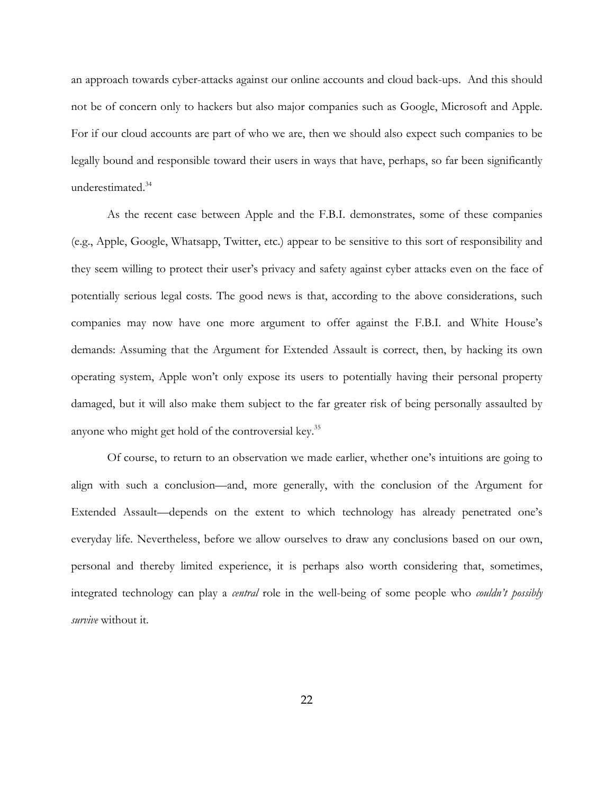an approach towards cyber-attacks against our online accounts and cloud back-ups. And this should not be of concern only to hackers but also major companies such as Google, Microsoft and Apple. For if our cloud accounts are part of who we are, then we should also expect such companies to be legally bound and responsible toward their users in ways that have, perhaps, so far been significantly underestimated.<sup>34</sup>

As the recent case between Apple and the F.B.I. demonstrates, some of these companies (e.g., Apple, Google, Whatsapp, Twitter, etc.) appear to be sensitive to this sort of responsibility and they seem willing to protect their user's privacy and safety against cyber attacks even on the face of potentially serious legal costs. The good news is that, according to the above considerations, such companies may now have one more argument to offer against the F.B.I. and White House's demands: Assuming that the Argument for Extended Assault is correct, then, by hacking its own operating system, Apple won't only expose its users to potentially having their personal property damaged, but it will also make them subject to the far greater risk of being personally assaulted by anyone who might get hold of the controversial key.<sup>35</sup>

Of course, to return to an observation we made earlier, whether one's intuitions are going to align with such a conclusion—and, more generally, with the conclusion of the Argument for Extended Assault—depends on the extent to which technology has already penetrated one's everyday life. Nevertheless, before we allow ourselves to draw any conclusions based on our own, personal and thereby limited experience, it is perhaps also worth considering that, sometimes, integrated technology can play a *central* role in the well-being of some people who *couldn't possibly survive* without it.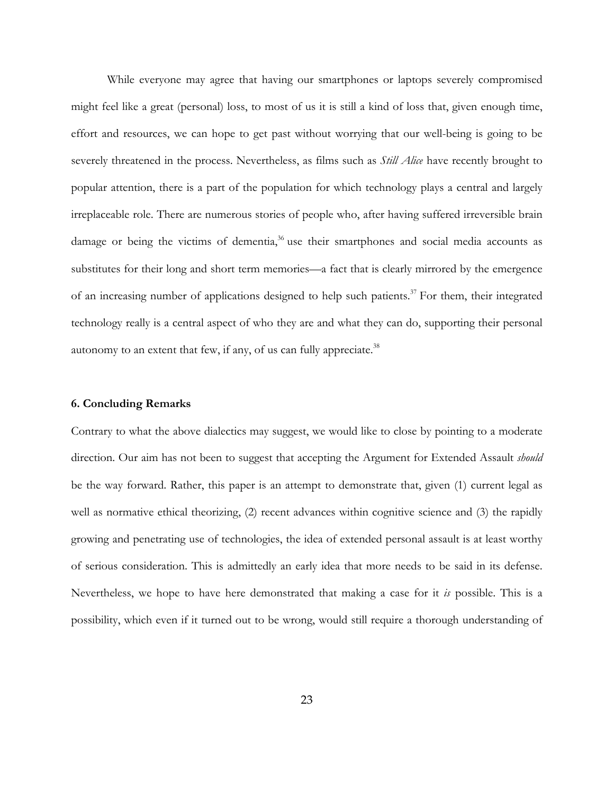While everyone may agree that having our smartphones or laptops severely compromised might feel like a great (personal) loss, to most of us it is still a kind of loss that, given enough time, effort and resources, we can hope to get past without worrying that our well-being is going to be severely threatened in the process. Nevertheless, as films such as *Still Alice* have recently brought to popular attention, there is a part of the population for which technology plays a central and largely irreplaceable role. There are numerous stories of people who, after having suffered irreversible brain damage or being the victims of dementia,<sup>36</sup> use their smartphones and social media accounts as substitutes for their long and short term memories—a fact that is clearly mirrored by the emergence of an increasing number of applications designed to help such patients.<sup>37</sup> For them, their integrated technology really is a central aspect of who they are and what they can do, supporting their personal autonomy to an extent that few, if any, of us can fully appreciate.<sup>38</sup>

#### **6. Concluding Remarks**

Contrary to what the above dialectics may suggest, we would like to close by pointing to a moderate direction. Our aim has not been to suggest that accepting the Argument for Extended Assault *should* be the way forward. Rather, this paper is an attempt to demonstrate that, given (1) current legal as well as normative ethical theorizing, (2) recent advances within cognitive science and (3) the rapidly growing and penetrating use of technologies, the idea of extended personal assault is at least worthy of serious consideration. This is admittedly an early idea that more needs to be said in its defense. Nevertheless, we hope to have here demonstrated that making a case for it *is* possible. This is a possibility, which even if it turned out to be wrong, would still require a thorough understanding of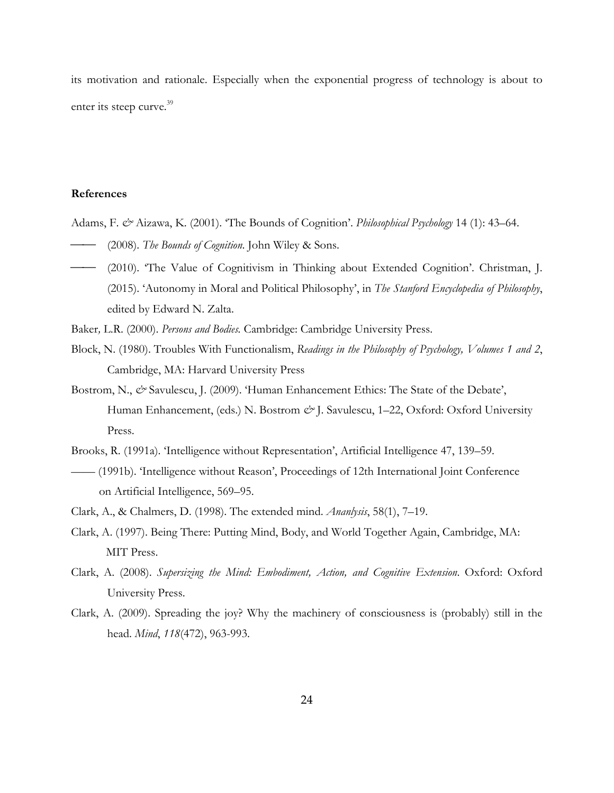its motivation and rationale. Especially when the exponential progress of technology is about to enter its steep curve.<sup>39</sup>

## **References**

- Adams, F. *&* Aizawa, K. (2001). 'The Bounds of Cognition'. *Philosophical Psychology* 14 (1): 43–64. ⎯⎯ (2008). *The Bounds of Cognition*. John Wiley & Sons.
- (2010). 'The Value of Cognitivism in Thinking about Extended Cognition'. Christman, J. (2015). 'Autonomy in Moral and Political Philosophy', in *The Stanford Encyclopedia of Philosophy*, edited by Edward N. Zalta.
- Baker*,* L.R. (2000). *Persons and Bodies.* Cambridge: Cambridge University Press.
- Block, N. (1980). Troubles With Functionalism, *Readings in the Philosophy of Psychology, Volumes 1 and 2*, Cambridge, MA: Harvard University Press
- Bostrom, N., & Savulescu, J. (2009). 'Human Enhancement Ethics: The State of the Debate', Human Enhancement, (eds.) N. Bostrom  $\mathcal{O}'$  J. Savulescu, 1–22, Oxford: Oxford University Press.
- Brooks, R. (1991a). 'Intelligence without Representation', Artificial Intelligence 47, 139–59.
- —— (1991b). 'Intelligence without Reason', Proceedings of 12th International Joint Conference on Artificial Intelligence, 569–95.
- Clark, A., & Chalmers, D. (1998). The extended mind. *Ananlysis*, 58(1), 7–19.
- Clark, A. (1997). Being There: Putting Mind, Body, and World Together Again, Cambridge, MA: MIT Press.
- Clark, A. (2008). *Supersizing the Mind: Embodiment, Action, and Cognitive Extension*. Oxford: Oxford University Press.
- Clark, A. (2009). Spreading the joy? Why the machinery of consciousness is (probably) still in the head. *Mind*, *118*(472), 963-993.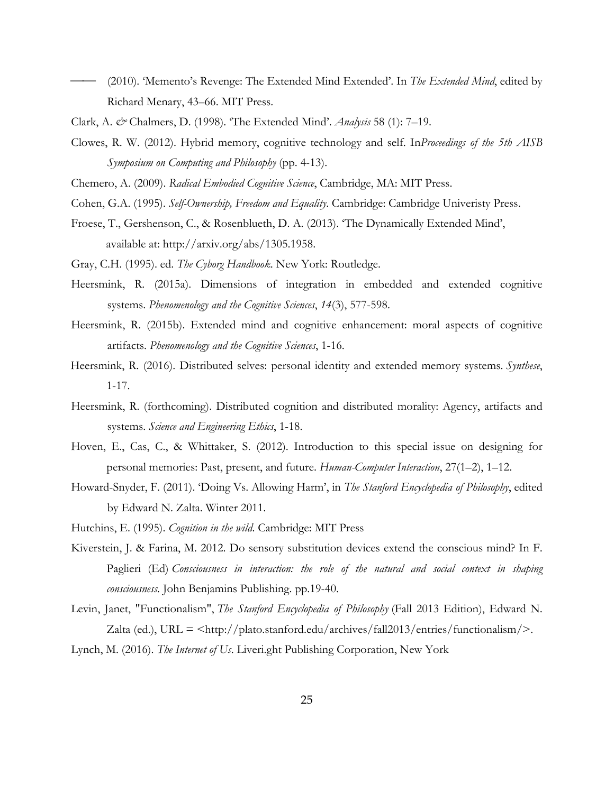- (2010). 'Memento's Revenge: The Extended Mind Extended'. In *The Extended Mind*, edited by Richard Menary, 43–66. MIT Press.
- Clark, A. *&* Chalmers, D. (1998). 'The Extended Mind'. *Analysis* 58 (1): 7–19.
- Clowes, R. W. (2012). Hybrid memory, cognitive technology and self. In*Proceedings of the 5th AISB Symposium on Computing and Philosophy* (pp. 4-13).
- Chemero, A. (2009). *Radical Embodied Cognitive Science*, Cambridge, MA: MIT Press.
- Cohen, G.A. (1995). *Self-Ownership, Freedom and Equality*. Cambridge: Cambridge Univeristy Press.
- Froese, T., Gershenson, C., & Rosenblueth, D. A. (2013). 'The Dynamically Extended Mind', available at: http://arxiv.org/abs/1305.1958.
- Gray, C.H. (1995). ed. *The Cyborg Handbook*. New York: Routledge.
- Heersmink, R. (2015a). Dimensions of integration in embedded and extended cognitive systems. *Phenomenology and the Cognitive Sciences*, *14*(3), 577-598.
- Heersmink, R. (2015b). Extended mind and cognitive enhancement: moral aspects of cognitive artifacts. *Phenomenology and the Cognitive Sciences*, 1-16.
- Heersmink, R. (2016). Distributed selves: personal identity and extended memory systems. *Synthese*, 1-17.
- Heersmink, R. (forthcoming). Distributed cognition and distributed morality: Agency, artifacts and systems. *Science and Engineering Ethics*, 1-18.
- Hoven, E., Cas, C., & Whittaker, S. (2012). Introduction to this special issue on designing for personal memories: Past, present, and future. *Human-Computer Interaction*, 27(1–2), 1–12.
- Howard-Snyder, F. (2011). 'Doing Vs. Allowing Harm', in *The Stanford Encyclopedia of Philosophy*, edited by Edward N. Zalta. Winter 2011.
- Hutchins, E. (1995). *Cognition in the wild*. Cambridge: MIT Press
- Kiverstein, J. & Farina, M. 2012. Do sensory substitution devices extend the conscious mind? In F. Paglieri (Ed) *Consciousness in interaction: the role of the natural and social context in shaping consciousness.* John Benjamins Publishing. pp.19-40.
- Levin, Janet, "Functionalism", *The Stanford Encyclopedia of Philosophy* (Fall 2013 Edition), Edward N. Zalta (ed.), URL = <http://plato.stanford.edu/archives/fall2013/entries/functionalism/>.
- Lynch, M. (2016). *The Internet of Us*. Liveri.ght Publishing Corporation, New York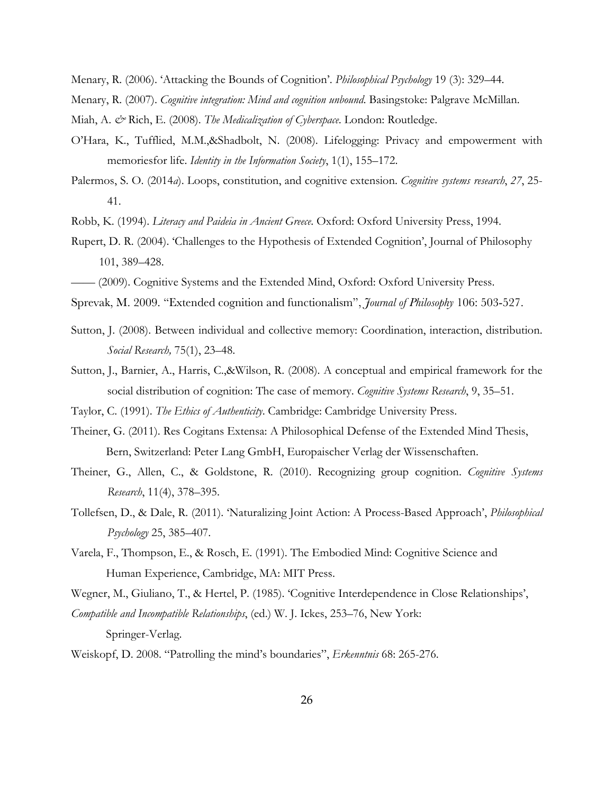- Menary, R. (2006). 'Attacking the Bounds of Cognition'. *Philosophical Psychology* 19 (3): 329–44.
- Menary, R. (2007). *Cognitive integration: Mind and cognition unbound*. Basingstoke: Palgrave McMillan.
- Miah, A. & Rich, E. (2008). *The Medicalization of Cyberspace*. London: Routledge.
- O'Hara, K., Tufflied, M.M.,&Shadbolt, N. (2008). Lifelogging: Privacy and empowerment with memoriesfor life. *Identity in the Information Society*, 1(1), 155–172.
- Palermos, S. O. (2014*a*). Loops, constitution, and cognitive extension. *Cognitive systems research*, *27*, 25- 41.
- Robb, K. (1994). *Literacy and Paideia in Ancient Greece*. Oxford: Oxford University Press, 1994.
- Rupert, D. R. (2004). 'Challenges to the Hypothesis of Extended Cognition', Journal of Philosophy 101, 389–428.
- —— (2009). Cognitive Systems and the Extended Mind, Oxford: Oxford University Press.
- Sprevak, M. 2009. "Extended cognition and functionalism", *Journal of Philosophy* 106: 503-527.
- Sutton, J. (2008). Between individual and collective memory: Coordination, interaction, distribution. *Social Research,* 75(1), 23–48.
- Sutton, J., Barnier, A., Harris, C.,&Wilson, R. (2008). A conceptual and empirical framework for the social distribution of cognition: The case of memory. *Cognitive Systems Research*, 9, 35–51.
- Taylor, C. (1991). *The Ethics of Authenticity*. Cambridge: Cambridge University Press.
- Theiner, G. (2011). Res Cogitans Extensa: A Philosophical Defense of the Extended Mind Thesis, Bern, Switzerland: Peter Lang GmbH, Europaischer Verlag der Wissenschaften.
- Theiner, G., Allen, C., & Goldstone, R. (2010). Recognizing group cognition. *Cognitive Systems Research*, 11(4), 378–395.
- Tollefsen, D., & Dale, R. (2011). 'Naturalizing Joint Action: A Process-Based Approach', *Philosophical Psychology* 25, 385–407.
- Varela, F., Thompson, E., & Rosch, E. (1991). The Embodied Mind: Cognitive Science and Human Experience, Cambridge, MA: MIT Press.
- Wegner, M., Giuliano, T., & Hertel, P. (1985). 'Cognitive Interdependence in Close Relationships', *Compatible and Incompatible Relationships*, (ed.) W. J. Ickes, 253–76, New York:

Springer-Verlag.

Weiskopf, D. 2008. "Patrolling the mind's boundaries", *Erkenntnis* 68: 265-276.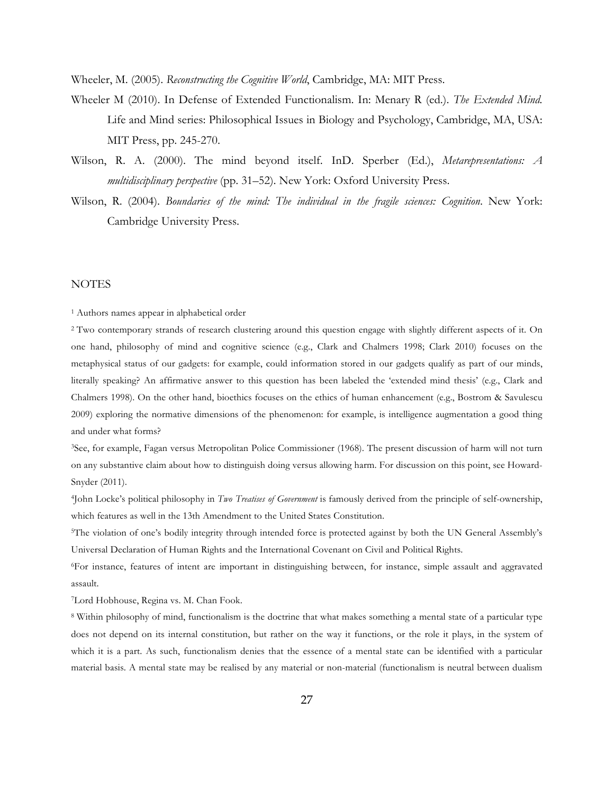Wheeler, M. (2005). *Reconstructing the Cognitive World*, Cambridge, MA: MIT Press.

- Wheeler M (2010). In Defense of Extended Functionalism. In: Menary R (ed.). *The Extended Mind.*  Life and Mind series: Philosophical Issues in Biology and Psychology, Cambridge, MA, USA: MIT Press, pp. 245-270.
- Wilson, R. A. (2000). The mind beyond itself. InD. Sperber (Ed.), *Metarepresentations: A multidisciplinary perspective* (pp. 31–52). New York: Oxford University Press.
- Wilson, R. (2004). *Boundaries of the mind: The individual in the fragile sciences: Cognition*. New York: Cambridge University Press.

#### **NOTES**

<sup>1</sup> Authors names appear in alphabetical order

<sup>2</sup> Two contemporary strands of research clustering around this question engage with slightly different aspects of it. On one hand, philosophy of mind and cognitive science (e.g., Clark and Chalmers 1998; Clark 2010) focuses on the metaphysical status of our gadgets: for example, could information stored in our gadgets qualify as part of our minds, literally speaking? An affirmative answer to this question has been labeled the 'extended mind thesis' (e.g., Clark and Chalmers 1998). On the other hand, bioethics focuses on the ethics of human enhancement (e.g., Bostrom & Savulescu 2009) exploring the normative dimensions of the phenomenon: for example, is intelligence augmentation a good thing and under what forms?

3See, for example, Fagan versus Metropolitan Police Commissioner (1968). The present discussion of harm will not turn on any substantive claim about how to distinguish doing versus allowing harm. For discussion on this point, see Howard-Snyder (2011).

4John Locke's political philosophy in *Two Treatises of Government* is famously derived from the principle of self-ownership, which features as well in the 13th Amendment to the United States Constitution.

5The violation of one's bodily integrity through intended force is protected against by both the UN General Assembly's Universal Declaration of Human Rights and the International Covenant on Civil and Political Rights.

6For instance, features of intent are important in distinguishing between, for instance, simple assault and aggravated assault.

7Lord Hobhouse, Regina vs. M. Chan Fook.

<sup>8</sup> Within philosophy of mind, functionalism is the doctrine that what makes something a mental state of a particular type does not depend on its internal constitution, but rather on the way it functions, or the role it plays, in the system of which it is a part. As such, functionalism denies that the essence of a mental state can be identified with a particular material basis. A mental state may be realised by any material or non-material (functionalism is neutral between dualism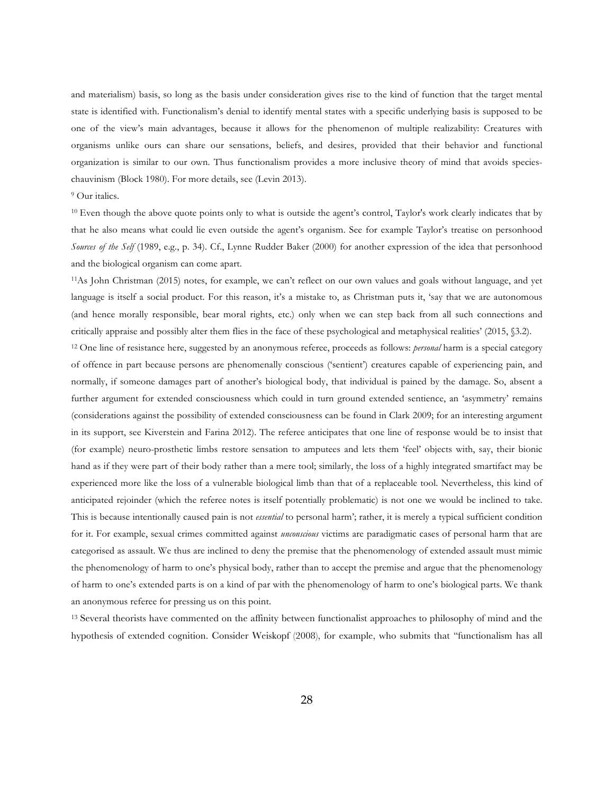and materialism) basis, so long as the basis under consideration gives rise to the kind of function that the target mental state is identified with. Functionalism's denial to identify mental states with a specific underlying basis is supposed to be one of the view's main advantages, because it allows for the phenomenon of multiple realizability: Creatures with organisms unlike ours can share our sensations, beliefs, and desires, provided that their behavior and functional organization is similar to our own. Thus functionalism provides a more inclusive theory of mind that avoids specieschauvinism (Block 1980). For more details, see (Levin 2013).

#### <sup>9</sup> Our italics.

<sup>10</sup> Even though the above quote points only to what is outside the agent's control, Taylor's work clearly indicates that by that he also means what could lie even outside the agent's organism. See for example Taylor's treatise on personhood *Sources of the Self* (1989, e.g., p. 34). Cf., Lynne Rudder Baker (2000) for another expression of the idea that personhood and the biological organism can come apart.

11As John Christman (2015) notes, for example, we can't reflect on our own values and goals without language, and yet language is itself a social product. For this reason, it's a mistake to, as Christman puts it, 'say that we are autonomous (and hence morally responsible, bear moral rights, etc.) only when we can step back from all such connections and critically appraise and possibly alter them flies in the face of these psychological and metaphysical realities' (2015, §3.2).

<sup>12</sup> One line of resistance here, suggested by an anonymous referee, proceeds as follows: *personal* harm is a special category of offence in part because persons are phenomenally conscious ('sentient') creatures capable of experiencing pain, and normally, if someone damages part of another's biological body, that individual is pained by the damage. So, absent a further argument for extended consciousness which could in turn ground extended sentience, an 'asymmetry' remains (considerations against the possibility of extended consciousness can be found in Clark 2009; for an interesting argument in its support, see Kiverstein and Farina 2012). The referee anticipates that one line of response would be to insist that (for example) neuro-prosthetic limbs restore sensation to amputees and lets them 'feel' objects with, say, their bionic hand as if they were part of their body rather than a mere tool; similarly, the loss of a highly integrated smartifact may be experienced more like the loss of a vulnerable biological limb than that of a replaceable tool. Nevertheless, this kind of anticipated rejoinder (which the referee notes is itself potentially problematic) is not one we would be inclined to take. This is because intentionally caused pain is not *essential* to personal harm'; rather, it is merely a typical sufficient condition for it. For example, sexual crimes committed against *unconscious* victims are paradigmatic cases of personal harm that are categorised as assault. We thus are inclined to deny the premise that the phenomenology of extended assault must mimic the phenomenology of harm to one's physical body, rather than to accept the premise and argue that the phenomenology of harm to one's extended parts is on a kind of par with the phenomenology of harm to one's biological parts. We thank an anonymous referee for pressing us on this point.

<sup>13</sup> Several theorists have commented on the affinity between functionalist approaches to philosophy of mind and the hypothesis of extended cognition. Consider Weiskopf (2008), for example, who submits that "functionalism has all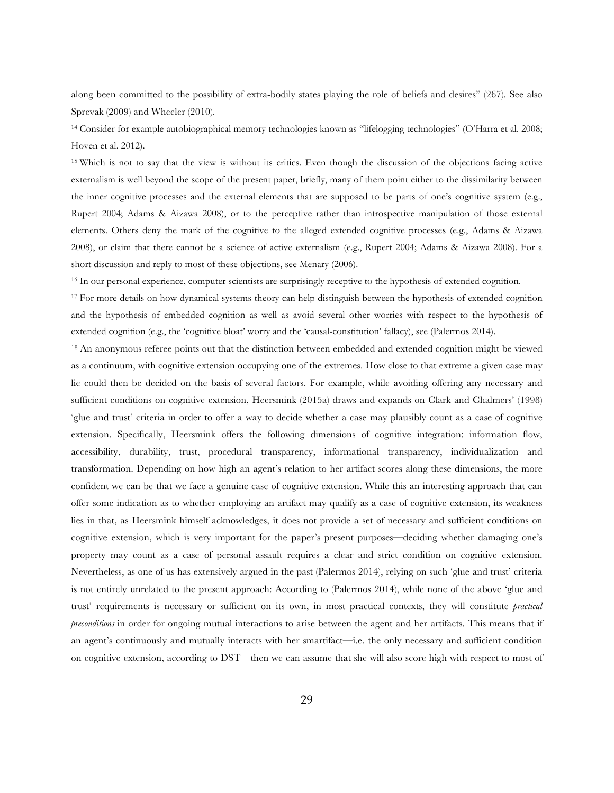along been committed to the possibility of extra-bodily states playing the role of beliefs and desires" (267). See also Sprevak (2009) and Wheeler (2010).

<sup>14</sup> Consider for example autobiographical memory technologies known as "lifelogging technologies" (O'Harra et al. 2008; Hoven et al. 2012).

<sup>15</sup> Which is not to say that the view is without its critics. Even though the discussion of the objections facing active externalism is well beyond the scope of the present paper, briefly, many of them point either to the dissimilarity between the inner cognitive processes and the external elements that are supposed to be parts of one's cognitive system (e.g., Rupert 2004; Adams & Aizawa 2008), or to the perceptive rather than introspective manipulation of those external elements. Others deny the mark of the cognitive to the alleged extended cognitive processes (e.g., Adams & Aizawa 2008), or claim that there cannot be a science of active externalism (e.g., Rupert 2004; Adams & Aizawa 2008). For a short discussion and reply to most of these objections, see Menary (2006).

<sup>16</sup> In our personal experience, computer scientists are surprisingly receptive to the hypothesis of extended cognition.

<sup>17</sup> For more details on how dynamical systems theory can help distinguish between the hypothesis of extended cognition and the hypothesis of embedded cognition as well as avoid several other worries with respect to the hypothesis of extended cognition (e.g., the 'cognitive bloat' worry and the 'causal-constitution' fallacy), see (Palermos 2014).

<sup>18</sup> An anonymous referee points out that the distinction between embedded and extended cognition might be viewed as a continuum, with cognitive extension occupying one of the extremes. How close to that extreme a given case may lie could then be decided on the basis of several factors. For example, while avoiding offering any necessary and sufficient conditions on cognitive extension, Heersmink (2015a) draws and expands on Clark and Chalmers' (1998) 'glue and trust' criteria in order to offer a way to decide whether a case may plausibly count as a case of cognitive extension. Specifically, Heersmink offers the following dimensions of cognitive integration: information flow, accessibility, durability, trust, procedural transparency, informational transparency, individualization and transformation. Depending on how high an agent's relation to her artifact scores along these dimensions, the more confident we can be that we face a genuine case of cognitive extension. While this an interesting approach that can offer some indication as to whether employing an artifact may qualify as a case of cognitive extension, its weakness lies in that, as Heersmink himself acknowledges, it does not provide a set of necessary and sufficient conditions on cognitive extension, which is very important for the paper's present purposes—deciding whether damaging one's property may count as a case of personal assault requires a clear and strict condition on cognitive extension. Nevertheless, as one of us has extensively argued in the past (Palermos 2014), relying on such 'glue and trust' criteria is not entirely unrelated to the present approach: According to (Palermos 2014), while none of the above 'glue and trust' requirements is necessary or sufficient on its own, in most practical contexts, they will constitute *practical preconditions* in order for ongoing mutual interactions to arise between the agent and her artifacts. This means that if an agent's continuously and mutually interacts with her smartifact—i.e. the only necessary and sufficient condition on cognitive extension, according to DST—then we can assume that she will also score high with respect to most of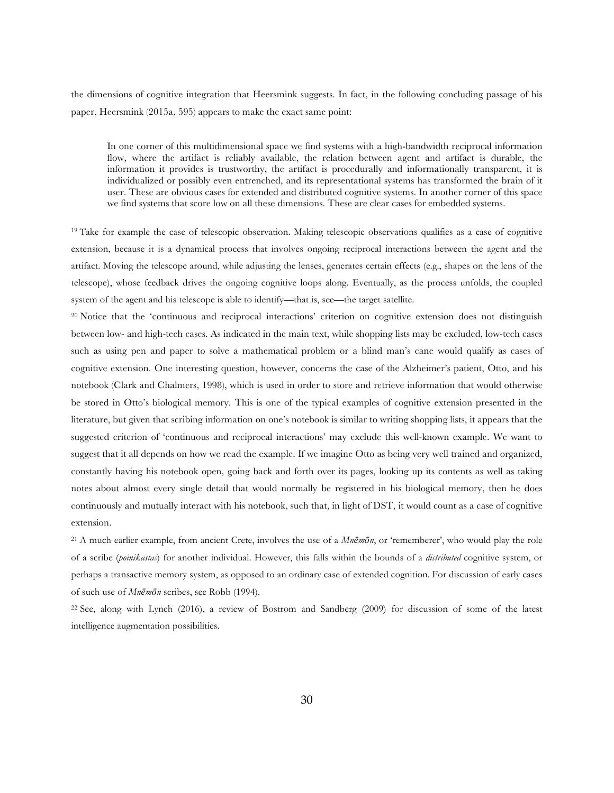the dimensions of cognitive integration that Heersmink suggests. In fact, in the following concluding passage of his paper, Heersmink (2015a, 595) appears to make the exact same point:

In one corner of this multidimensional space we find systems with a high-bandwidth reciprocal information flow, where the artifact is reliably available, the relation between agent and artifact is durable, the information it provides is trustworthy, the artifact is procedurally and informationally transparent, it is individualized or possibly even entrenched, and its representational systems has transformed the brain of it user. These are obvious cases for extended and distributed cognitive systems. In another corner of this space we find systems that score low on all these dimensions. These are clear cases for embedded systems.

<sup>19</sup> Take for example the case of telescopic observation. Making telescopic observations qualifies as a case of cognitive extension, because it is a dynamical process that involves ongoing reciprocal interactions between the agent and the artifact. Moving the telescope around, while adjusting the lenses, generates certain effects (e.g., shapes on the lens of the telescope), whose feedback drives the ongoing cognitive loops along. Eventually, as the process unfolds, the coupled system of the agent and his telescope is able to identify—that is, see—the target satellite.

<sup>20</sup> Notice that the 'continuous and reciprocal interactions' criterion on cognitive extension does not distinguish between low- and high-tech cases. As indicated in the main text, while shopping lists may be excluded, low-tech cases such as using pen and paper to solve a mathematical problem or a blind man's cane would qualify as cases of cognitive extension. One interesting question, however, concerns the case of the Alzheimer's patient, Otto, and his notebook (Clark and Chalmers, 1998), which is used in order to store and retrieve information that would otherwise be stored in Otto's biological memory. This is one of the typical examples of cognitive extension presented in the literature, but given that scribing information on one's notebook is similar to writing shopping lists, it appears that the suggested criterion of 'continuous and reciprocal interactions' may exclude this well-known example. We want to suggest that it all depends on how we read the example. If we imagine Otto as being very well trained and organized, constantly having his notebook open, going back and forth over its pages, looking up its contents as well as taking notes about almost every single detail that would normally be registered in his biological memory, then he does continuously and mutually interact with his notebook, such that, in light of DST, it would count as a case of cognitive extension.

<sup>21</sup> A much earlier example, from ancient Crete, involves the use of a *Mnēmōn*, or 'rememberer', who would play the role of a scribe (*poinikastas*) for another individual. However, this falls within the bounds of a *distributed* cognitive system, or perhaps a transactive memory system, as opposed to an ordinary case of extended cognition. For discussion of early cases of such use of *Mnēmōn* scribes, see Robb (1994).

<sup>22</sup> See, along with Lynch (2016), a review of Bostrom and Sandberg (2009) for discussion of some of the latest intelligence augmentation possibilities.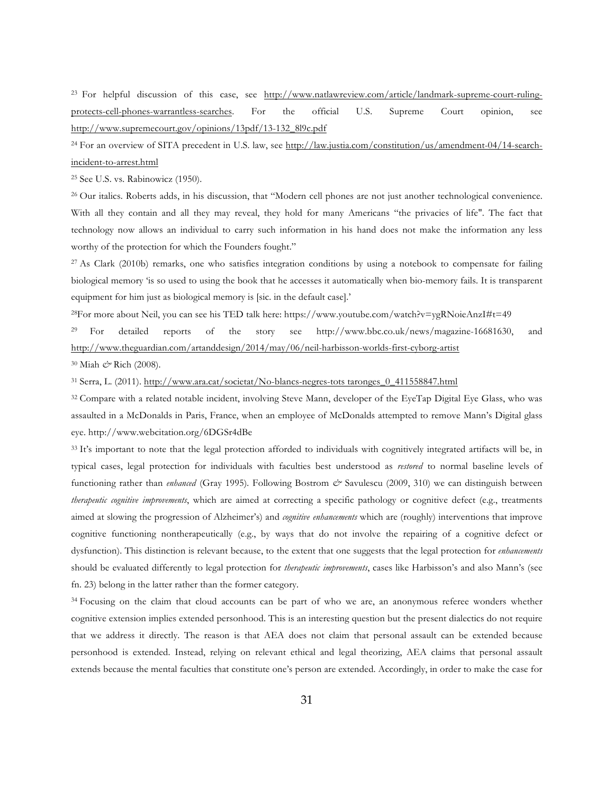<sup>23</sup> For helpful discussion of this case, see http://www.natlawreview.com/article/landmark-supreme-court-rulingprotects-cell-phones-warrantless-searches. For the official U.S. Supreme Court opinion, see http://www.supremecourt.gov/opinions/13pdf/13-132\_8l9c.pdf

<sup>24</sup> For an overview of SITA precedent in U.S. law, see http://law.justia.com/constitution/us/amendment-04/14-searchincident-to-arrest.html

<sup>25</sup> See U.S. vs. Rabinowicz (1950).

<sup>26</sup> Our italics. Roberts adds, in his discussion, that "Modern cell phones are not just another technological convenience. With all they contain and all they may reveal, they hold for many Americans "the privacies of life". The fact that technology now allows an individual to carry such information in his hand does not make the information any less worthy of the protection for which the Founders fought."

<sup>27</sup> As Clark (2010b) remarks, one who satisfies integration conditions by using a notebook to compensate for failing biological memory 'is so used to using the book that he accesses it automatically when bio-memory fails. It is transparent equipment for him just as biological memory is [sic. in the default case].'

28For more about Neil, you can see his TED talk here: https://www.youtube.com/watch?v=ygRNoieAnzI#t=49

<sup>29</sup> For detailed reports of the story see http://www.bbc.co.uk/news/magazine-16681630, and http://www.theguardian.com/artanddesign/2014/may/06/neil-harbisson-worlds-first-cyborg-artist

<sup>30</sup> Miah *&* Rich (2008).

<sup>31</sup> Serra, L. (2011). http://www.ara.cat/societat/No-blancs-negres-tots taronges\_0\_411558847.html

<sup>32</sup> Compare with a related notable incident, involving Steve Mann, developer of the EyeTap Digital Eye Glass, who was assaulted in a McDonalds in Paris, France, when an employee of McDonalds attempted to remove Mann's Digital glass eye. http://www.webcitation.org/6DGSr4dBe

<sup>33</sup> It's important to note that the legal protection afforded to individuals with cognitively integrated artifacts will be, in typical cases, legal protection for individuals with faculties best understood as *restored* to normal baseline levels of functioning rather than *enhanced* (Gray 1995)*.* Following Bostrom *&* Savulescu (2009, 310) we can distinguish between *therapeutic cognitive improvements*, which are aimed at correcting a specific pathology or cognitive defect (e.g., treatments aimed at slowing the progression of Alzheimer's) and *cognitive enhancements* which are (roughly) interventions that improve cognitive functioning nontherapeutically (e.g., by ways that do not involve the repairing of a cognitive defect or dysfunction). This distinction is relevant because, to the extent that one suggests that the legal protection for *enhancements* should be evaluated differently to legal protection for *therapeutic improvements*, cases like Harbisson's and also Mann's (see fn. 23) belong in the latter rather than the former category.

<sup>34</sup> Focusing on the claim that cloud accounts can be part of who we are, an anonymous referee wonders whether cognitive extension implies extended personhood. This is an interesting question but the present dialectics do not require that we address it directly. The reason is that AEA does not claim that personal assault can be extended because personhood is extended. Instead, relying on relevant ethical and legal theorizing, AEA claims that personal assault extends because the mental faculties that constitute one's person are extended. Accordingly, in order to make the case for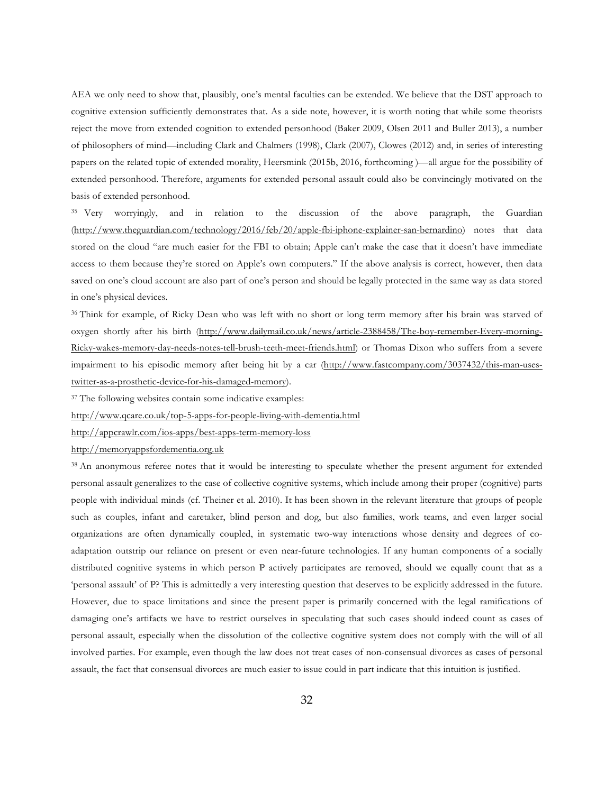AEA we only need to show that, plausibly, one's mental faculties can be extended. We believe that the DST approach to cognitive extension sufficiently demonstrates that. As a side note, however, it is worth noting that while some theorists reject the move from extended cognition to extended personhood (Baker 2009, Olsen 2011 and Buller 2013), a number of philosophers of mind—including Clark and Chalmers (1998), Clark (2007), Clowes (2012) and, in series of interesting papers on the related topic of extended morality, Heersmink (2015b, 2016, forthcoming )—all argue for the possibility of extended personhood. Therefore, arguments for extended personal assault could also be convincingly motivated on the basis of extended personhood.

<sup>35</sup> Very worryingly, and in relation to the discussion of the above paragraph, the Guardian (http://www.theguardian.com/technology/2016/feb/20/apple-fbi-iphone-explainer-san-bernardino) notes that data stored on the cloud "are much easier for the FBI to obtain; Apple can't make the case that it doesn't have immediate access to them because they're stored on Apple's own computers." If the above analysis is correct, however, then data saved on one's cloud account are also part of one's person and should be legally protected in the same way as data stored in one's physical devices.

<sup>36</sup> Think for example, of Ricky Dean who was left with no short or long term memory after his brain was starved of oxygen shortly after his birth (http://www.dailymail.co.uk/news/article-2388458/The-boy-remember-Every-morning-Ricky-wakes-memory-day-needs-notes-tell-brush-teeth-meet-friends.html) or Thomas Dixon who suffers from a severe impairment to his episodic memory after being hit by a car (http://www.fastcompany.com/3037432/this-man-usestwitter-as-a-prosthetic-device-for-his-damaged-memory).

<sup>37</sup> The following websites contain some indicative examples:

http://www.qcare.co.uk/top-5-apps-for-people-living-with-dementia.html

http://appcrawlr.com/ios-apps/best-apps-term-memory-loss

http://memoryappsfordementia.org.uk

<sup>38</sup> An anonymous referee notes that it would be interesting to speculate whether the present argument for extended personal assault generalizes to the case of collective cognitive systems, which include among their proper (cognitive) parts people with individual minds (cf. Theiner et al. 2010). It has been shown in the relevant literature that groups of people such as couples, infant and caretaker, blind person and dog, but also families, work teams, and even larger social organizations are often dynamically coupled, in systematic two-way interactions whose density and degrees of coadaptation outstrip our reliance on present or even near-future technologies. If any human components of a socially distributed cognitive systems in which person P actively participates are removed, should we equally count that as a 'personal assault' of P? This is admittedly a very interesting question that deserves to be explicitly addressed in the future. However, due to space limitations and since the present paper is primarily concerned with the legal ramifications of damaging one's artifacts we have to restrict ourselves in speculating that such cases should indeed count as cases of personal assault, especially when the dissolution of the collective cognitive system does not comply with the will of all involved parties. For example, even though the law does not treat cases of non-consensual divorces as cases of personal assault, the fact that consensual divorces are much easier to issue could in part indicate that this intuition is justified.